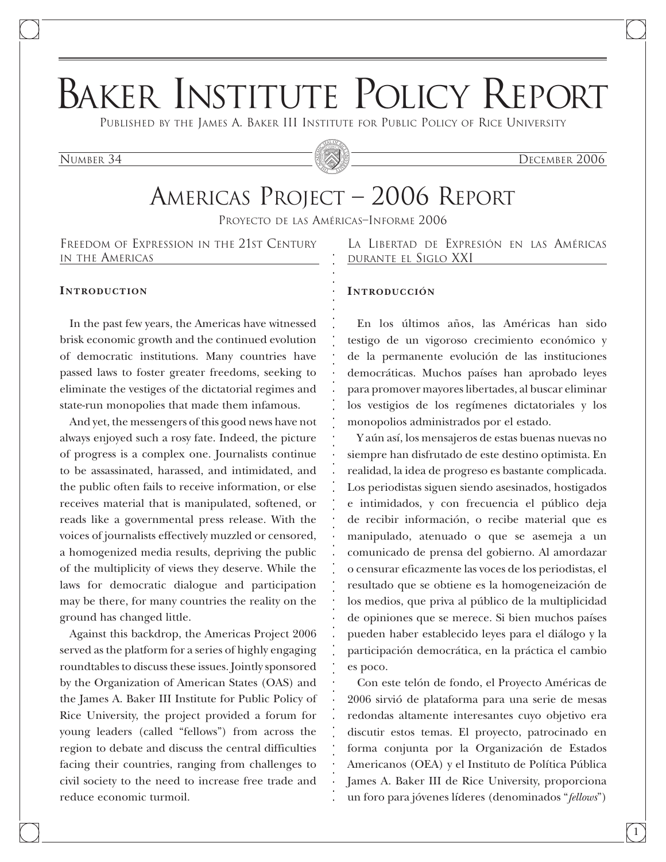# Baker Institute Policy Report

Published by the James A. Baker III Institute for Public Policy of Rice University

NUMBER 34 DECEMBER 2006

## Americas Project – 2006 Report

Proyecto de las Américas–Informe 2006

Freedom of Expression in the 21st Century in the Americas

#### **INTRODUCTION**

In the past few years, the Americas have witnessed brisk economic growth and the continued evolution of democratic institutions. Many countries have passed laws to foster greater freedoms, seeking to eliminate the vestiges of the dictatorial regimes and state-run monopolies that made them infamous.

And yet, the messengers of this good news have not always enjoyed such a rosy fate. Indeed, the picture of progress is a complex one. Journalists continue to be assassinated, harassed, and intimidated, and the public often fails to receive information, or else receives material that is manipulated, softened, or reads like a governmental press release. With the voices of journalists effectively muzzled or censored, a homogenized media results, depriving the public of the multiplicity of views they deserve. While the laws for democratic dialogue and participation may be there, for many countries the reality on the ground has changed little.

Against this backdrop, the Americas Project 2006 served as the platform for a series of highly engaging roundtables to discuss these issues. Jointly sponsored by the Organization of American States (OAS) and the James A. Baker III Institute for Public Policy of Rice University, the project provided a forum for young leaders (called "fellows") from across the region to debate and discuss the central difficulties facing their countries, ranging from challenges to civil society to the need to increase free trade and reduce economic turmoil.

La Libertad de Expresión en las Américas durante el Siglo XXI

#### **INTRODUCCIÓN**

En los últimos años, las Américas han sido testigo de un vigoroso crecimiento económico y de la permanente evolución de las instituciones democráticas. Muchos países han aprobado leyes para promover mayores libertades, al buscar eliminar los vestigios de los regímenes dictatoriales y los monopolios administrados por el estado.

Y aún así, los mensajeros de estas buenas nuevas no siempre han disfrutado de este destino optimista. En realidad, la idea de progreso es bastante complicada. Los periodistas siguen siendo asesinados, hostigados e intimidados, y con frecuencia el público deja de recibir información, o recibe material que es manipulado, atenuado o que se asemeja a un comunicado de prensa del gobierno. Al amordazar o censurar eficazmente las voces de los periodistas, el resultado que se obtiene es la homogeneización de los medios, que priva al público de la multiplicidad de opiniones que se merece. Si bien muchos países pueden haber establecido leyes para el diálogo y la participación democrática, en la práctica el cambio es poco.

Con este telón de fondo, el Proyecto Américas de 2006 sirvió de plataforma para una serie de mesas redondas altamente interesantes cuyo objetivo era discutir estos temas. El proyecto, patrocinado en forma conjunta por la Organización de Estados Americanos (OEA) y el Instituto de Política Pública James A. Baker III de Rice University, proporciona un foro para jóvenes líderes (denominados "*fellows*")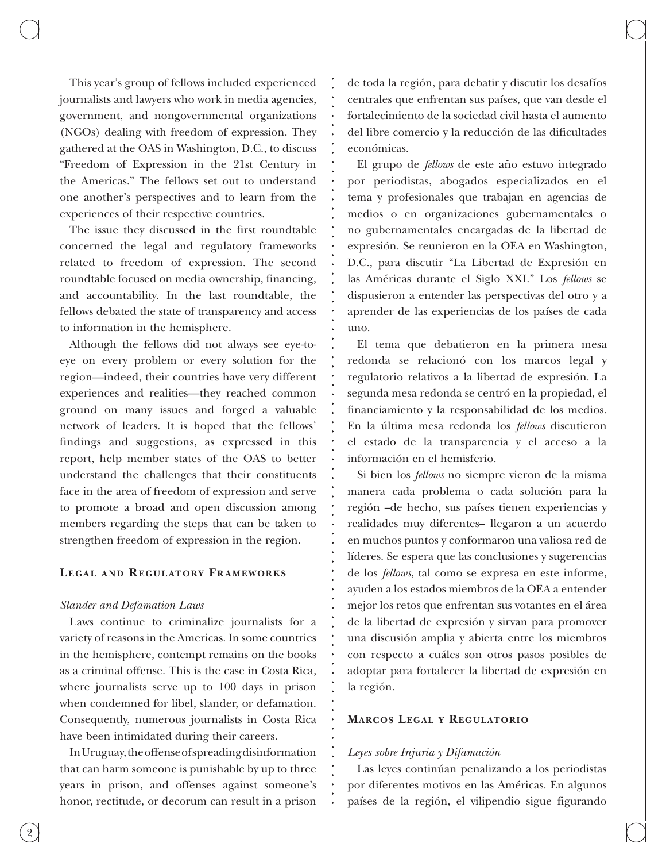This year's group of fellows included experienced journalists and lawyers who work in media agencies, government, and nongovernmental organizations (NGOs) dealing with freedom of expression. They gathered at the OAS in Washington, D.C., to discuss "Freedom of Expression in the 21st Century in the Americas." The fellows set out to understand one another's perspectives and to learn from the experiences of their respective countries.

The issue they discussed in the first roundtable concerned the legal and regulatory frameworks related to freedom of expression. The second roundtable focused on media ownership, financing, and accountability. In the last roundtable, the fellows debated the state of transparency and access to information in the hemisphere.

Although the fellows did not always see eye-toeye on every problem or every solution for the region—indeed, their countries have very different experiences and realities—they reached common ground on many issues and forged a valuable network of leaders. It is hoped that the fellows' findings and suggestions, as expressed in this report, help member states of the OAS to better understand the challenges that their constituents face in the area of freedom of expression and serve to promote a broad and open discussion among members regarding the steps that can be taken to strengthen freedom of expression in the region.

#### LEGAL AND **REGULATORY FRAMEWORKS**

#### *Slander and Defamation Laws*

Laws continue to criminalize journalists for a variety of reasons in the Americas. In some countries in the hemisphere, contempt remains on the books as a criminal offense. This is the case in Costa Rica, where journalists serve up to 100 days in prison when condemned for libel, slander, or defamation. Consequently, numerous journalists in Costa Rica have been intimidated during their careers.

In Uruguay, the offense of spreading disinformation that can harm someone is punishable by up to three years in prison, and offenses against someone's honor, rectitude, or decorum can result in a prison

de toda la región, para debatir y discutir los desafíos centrales que enfrentan sus países, que van desde el fortalecimiento de la sociedad civil hasta el aumento del libre comercio y la reducción de las dificultades económicas.

El grupo de *fellows* de este año estuvo integrado por periodistas, abogados especializados en el tema y profesionales que trabajan en agencias de medios o en organizaciones gubernamentales o no gubernamentales encargadas de la libertad de expresión. Se reunieron en la OEA en Washington, D.C., para discutir "La Libertad de Expresión en las Américas durante el Siglo XXI." Los *fellows* se dispusieron a entender las perspectivas del otro y a aprender de las experiencias de los países de cada uno.

El tema que debatieron en la primera mesa redonda se relacionó con los marcos legal y regulatorio relativos a la libertad de expresión. La segunda mesa redonda se centró en la propiedad, el financiamiento y la responsabilidad de los medios. En la última mesa redonda los *fellows* discutieron el estado de la transparencia y el acceso a la información en el hemisferio.

Si bien los *fellows* no siempre vieron de la misma manera cada problema o cada solución para la región –de hecho, sus países tienen experiencias y realidades muy diferentes– llegaron a un acuerdo en muchos puntos y conformaron una valiosa red de líderes. Se espera que las conclusiones y sugerencias de los *fellows*, tal como se expresa en este informe, ayuden a los estados miembros de la OEA a entender mejor los retos que enfrentan sus votantes en el área de la libertad de expresión y sirvan para promover una discusión amplia y abierta entre los miembros con respecto a cuáles son otros pasos posibles de adoptar para fortalecer la libertad de expresión en la región.

#### **Marcos Legal y Regulatorio**

#### *Leyes sobre Injuria y Difamación*

Las leyes continúan penalizando a los periodistas por diferentes motivos en las Américas. En algunos países de la región, el vilipendio sigue figurando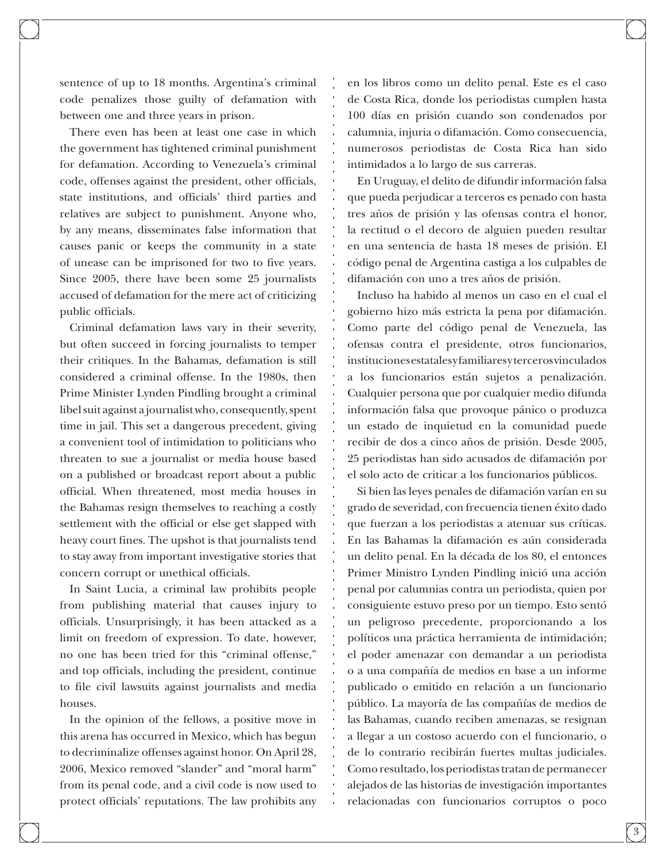sentence of up to 18 months. Argentina's criminal code penalizes those guilty of defamation with between one and three years in prison.

There even has been at least one case in which the government has tightened criminal punishment for defamation. According to Venezuela's criminal code, offenses against the president, other officials, state institutions, and officials' third parties and relatives are subject to punishment. Anyone who, by any means, disseminates false information that causes panic or keeps the community in a state of unease can be imprisoned for two to five years. Since 2005, there have been some 25 journalists accused of defamation for the mere act of criticizing public officials.

Criminal defamation laws vary in their severity, but often succeed in forcing journalists to temper their critiques. In the Bahamas, defamation is still considered a criminal offense. In the 1980s, then Prime Minister Lynden Pindling brought a criminal libel suit against a journalist who, consequently, spent time in jail. This set a dangerous precedent, giving a convenient tool of intimidation to politicians who threaten to sue a journalist or media house based on a published or broadcast report about a public official. When threatened, most media houses in the Bahamas resign themselves to reaching a costly settlement with the official or else get slapped with heavy court fines. The upshot is that journalists tend to stay away from important investigative stories that concern corrupt or unethical officials.

In Saint Lucia, a criminal law prohibits people from publishing material that causes injury to officials. Unsurprisingly, it has been attacked as a limit on freedom of expression. To date, however, no one has been tried for this "criminal offense," and top officials, including the president, continue to file civil lawsuits against journalists and media houses.

In the opinion of the fellows, a positive move in this arena has occurred in Mexico, which has begun to decriminalize offenses against honor. On April 28, 2006, Mexico removed "slander" and "moral harm" from its penal code, and a civil code is now used to protect officials' reputations. The law prohibits any

en los libros como un delito penal. Este es el caso de Costa Rica, donde los periodistas cumplen hasta 100 días en prisión cuando son condenados por calumnia, injuria o difamación. Como consecuencia, numerosos periodistas de Costa Rica han sido intimidados a lo largo de sus carreras.

En Uruguay, el delito de difundir información falsa que pueda perjudicar a terceros es penado con hasta tres años de prisión y las ofensas contra el honor, la rectitud o el decoro de alguien pueden resultar en una sentencia de hasta 18 meses de prisión. El código penal de Argentina castiga a los culpables de difamación con uno a tres años de prisión.

Incluso ha habido al menos un caso en el cual el gobierno hizo más estricta la pena por difamación. Como parte del código penal de Venezuela, las ofensas contra el presidente, otros funcionarios, instituciones estatales y familiares y terceros vinculados a los funcionarios están sujetos a penalización. Cualquier persona que por cualquier medio difunda información falsa que provoque pánico o produzca un estado de inquietud en la comunidad puede recibir de dos a cinco años de prisión. Desde 2005, 25 periodistas han sido acusados de difamación por el solo acto de criticar a los funcionarios públicos.

Si bien las leyes penales de difamación varían en su grado de severidad, con frecuencia tienen éxito dado que fuerzan a los periodistas a atenuar sus críticas. En las Bahamas la difamación es aún considerada un delito penal. En la década de los 80, el entonces Primer Ministro Lynden Pindling inició una acción penal por calumnias contra un periodista, quien por consiguiente estuvo preso por un tiempo. Esto sentó un peligroso precedente, proporcionando a los políticos una práctica herramienta de intimidación; el poder amenazar con demandar a un periodista o a una compañía de medios en base a un informe publicado o emitido en relación a un funcionario público. La mayoría de las compañías de medios de las Bahamas, cuando reciben amenazas, se resignan a llegar a un costoso acuerdo con el funcionario, o de lo contrario recibirán fuertes multas judiciales. Como resultado, los periodistas tratan de permanecer alejados de las historias de investigación importantes relacionadas con funcionarios corruptos o poco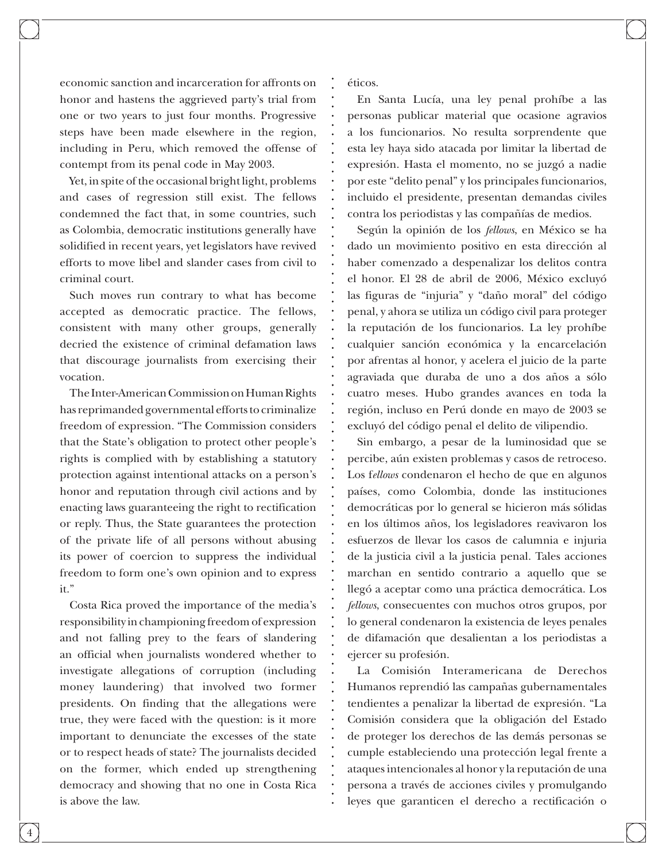economic sanction and incarceration for affronts on honor and hastens the aggrieved party's trial from one or two years to just four months. Progressive steps have been made elsewhere in the region, including in Peru, which removed the offense of contempt from its penal code in May 2003.

Yet, in spite of the occasional bright light, problems and cases of regression still exist. The fellows condemned the fact that, in some countries, such as Colombia, democratic institutions generally have solidified in recent years, yet legislators have revived efforts to move libel and slander cases from civil to criminal court.

Such moves run contrary to what has become accepted as democratic practice. The fellows, consistent with many other groups, generally decried the existence of criminal defamation laws that discourage journalists from exercising their vocation.

The Inter-American Commission on Human Rights has reprimanded governmental efforts to criminalize freedom of expression. "The Commission considers that the State's obligation to protect other people's rights is complied with by establishing a statutory protection against intentional attacks on a person's honor and reputation through civil actions and by enacting laws guaranteeing the right to rectification or reply. Thus, the State guarantees the protection of the private life of all persons without abusing its power of coercion to suppress the individual freedom to form one's own opinion and to express it."

Costa Rica proved the importance of the media's responsibility in championing freedom of expression and not falling prey to the fears of slandering an official when journalists wondered whether to investigate allegations of corruption (including money laundering) that involved two former presidents. On finding that the allegations were true, they were faced with the question: is it more important to denunciate the excesses of the state or to respect heads of state? The journalists decided on the former, which ended up strengthening democracy and showing that no one in Costa Rica is above the law.

éticos.

En Santa Lucía, una ley penal prohíbe a las personas publicar material que ocasione agravios a los funcionarios. No resulta sorprendente que esta ley haya sido atacada por limitar la libertad de expresión. Hasta el momento, no se juzgó a nadie por este "delito penal" y los principales funcionarios, incluido el presidente, presentan demandas civiles contra los periodistas y las compañías de medios.

Según la opinión de los *fellows*, en México se ha dado un movimiento positivo en esta dirección al haber comenzado a despenalizar los delitos contra el honor. El 28 de abril de 2006, México excluyó las figuras de "injuria" y "daño moral" del código penal, y ahora se utiliza un código civil para proteger la reputación de los funcionarios. La ley prohíbe cualquier sanción económica y la encarcelación por afrentas al honor, y acelera el juicio de la parte agraviada que duraba de uno a dos años a sólo cuatro meses. Hubo grandes avances en toda la región, incluso en Perú donde en mayo de 2003 se excluyó del código penal el delito de vilipendio.

Sin embargo, a pesar de la luminosidad que se percibe, aún existen problemas y casos de retroceso. Los f*ellows* condenaron el hecho de que en algunos países, como Colombia, donde las instituciones democráticas por lo general se hicieron más sólidas en los últimos años, los legisladores reavivaron los esfuerzos de llevar los casos de calumnia e injuria de la justicia civil a la justicia penal. Tales acciones marchan en sentido contrario a aquello que se llegó a aceptar como una práctica democrática. Los *fellows*, consecuentes con muchos otros grupos, por lo general condenaron la existencia de leyes penales de difamación que desalientan a los periodistas a ejercer su profesión.

La Comisión Interamericana de Derechos Humanos reprendió las campañas gubernamentales tendientes a penalizar la libertad de expresión. "La Comisión considera que la obligación del Estado de proteger los derechos de las demás personas se cumple estableciendo una protección legal frente a ataques intencionales al honor y la reputación de una persona a través de acciones civiles y promulgando leyes que garanticen el derecho a rectificación o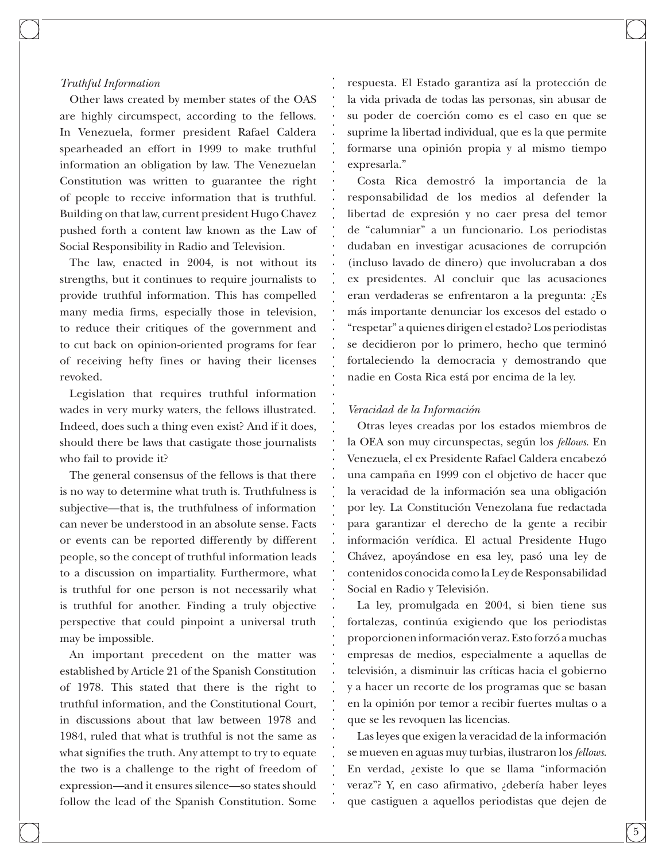#### *Truthful Information*

Other laws created by member states of the OAS are highly circumspect, according to the fellows. In Venezuela, former president Rafael Caldera spearheaded an effort in 1999 to make truthful information an obligation by law. The Venezuelan Constitution was written to guarantee the right of people to receive information that is truthful. Building on that law, current president Hugo Chavez pushed forth a content law known as the Law of Social Responsibility in Radio and Television.

The law, enacted in 2004, is not without its strengths, but it continues to require journalists to provide truthful information. This has compelled many media firms, especially those in television, to reduce their critiques of the government and to cut back on opinion-oriented programs for fear of receiving hefty fines or having their licenses revoked.

Legislation that requires truthful information wades in very murky waters, the fellows illustrated. Indeed, does such a thing even exist? And if it does, should there be laws that castigate those journalists who fail to provide it?

The general consensus of the fellows is that there is no way to determine what truth is. Truthfulness is subjective—that is, the truthfulness of information can never be understood in an absolute sense. Facts or events can be reported differently by different people, so the concept of truthful information leads to a discussion on impartiality. Furthermore, what is truthful for one person is not necessarily what is truthful for another. Finding a truly objective perspective that could pinpoint a universal truth may be impossible.

An important precedent on the matter was established by Article 21 of the Spanish Constitution of 1978. This stated that there is the right to truthful information, and the Constitutional Court, in discussions about that law between 1978 and 1984, ruled that what is truthful is not the same as what signifies the truth. Any attempt to try to equate the two is a challenge to the right of freedom of expression—and it ensures silence—so states should follow the lead of the Spanish Constitution. Some

respuesta. El Estado garantiza así la protección de la vida privada de todas las personas, sin abusar de su poder de coerción como es el caso en que se suprime la libertad individual, que es la que permite formarse una opinión propia y al mismo tiempo expresarla."

Costa Rica demostró la importancia de la responsabilidad de los medios al defender la libertad de expresión y no caer presa del temor de "calumniar" a un funcionario. Los periodistas dudaban en investigar acusaciones de corrupción (incluso lavado de dinero) que involucraban a dos ex presidentes. Al concluir que las acusaciones eran verdaderas se enfrentaron a la pregunta: ¿Es más importante denunciar los excesos del estado o "respetar" a quienes dirigen el estado? Los periodistas se decidieron por lo primero, hecho que terminó fortaleciendo la democracia y demostrando que nadie en Costa Rica está por encima de la ley.

#### *Veracidad de la Información*

Otras leyes creadas por los estados miembros de la OEA son muy circunspectas, según los *fellows*. En Venezuela, el ex Presidente Rafael Caldera encabezó una campaña en 1999 con el objetivo de hacer que la veracidad de la información sea una obligación por ley. La Constitución Venezolana fue redactada para garantizar el derecho de la gente a recibir información verídica. El actual Presidente Hugo Chávez, apoyándose en esa ley, pasó una ley de contenidos conocida como la Ley de Responsabilidad Social en Radio y Televisión.

La ley, promulgada en 2004, si bien tiene sus fortalezas, continúa exigiendo que los periodistas proporcionen información veraz. Esto forzó a muchas empresas de medios, especialmente a aquellas de televisión, a disminuir las críticas hacia el gobierno y a hacer un recorte de los programas que se basan en la opinión por temor a recibir fuertes multas o a que se les revoquen las licencias.

Las leyes que exigen la veracidad de la información se mueven en aguas muy turbias, ilustraron los *fellows*. En verdad, ¿existe lo que se llama "información veraz"? Y, en caso afirmativo, ¿debería haber leyes que castiguen a aquellos periodistas que dejen de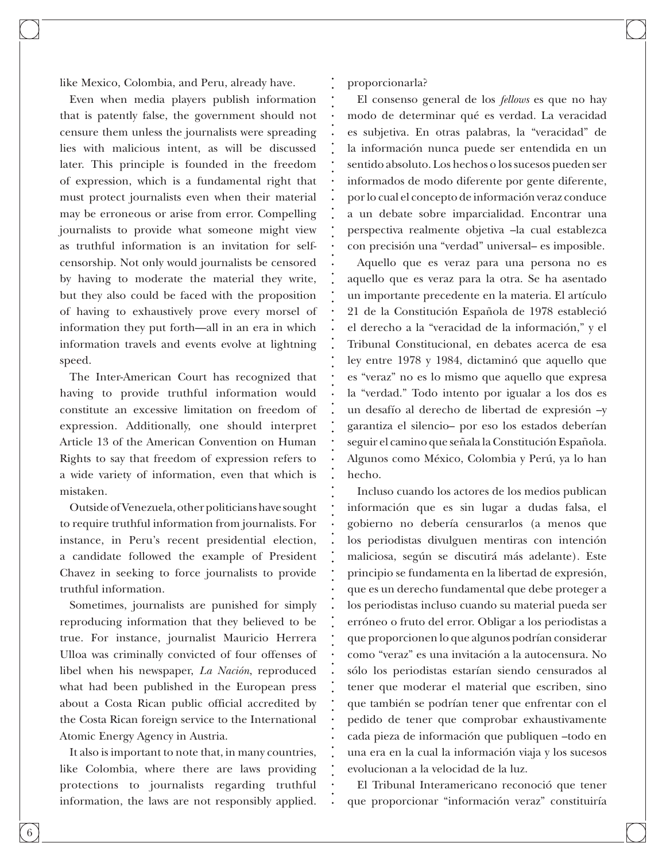like Mexico, Colombia, and Peru, already have.

Even when media players publish information that is patently false, the government should not censure them unless the journalists were spreading lies with malicious intent, as will be discussed later. This principle is founded in the freedom of expression, which is a fundamental right that must protect journalists even when their material may be erroneous or arise from error. Compelling journalists to provide what someone might view as truthful information is an invitation for selfcensorship. Not only would journalists be censored by having to moderate the material they write, but they also could be faced with the proposition of having to exhaustively prove every morsel of information they put forth—all in an era in which information travels and events evolve at lightning speed.

The Inter-American Court has recognized that having to provide truthful information would constitute an excessive limitation on freedom of expression. Additionally, one should interpret Article 13 of the American Convention on Human Rights to say that freedom of expression refers to a wide variety of information, even that which is mistaken.

Outside of Venezuela, other politicians have sought to require truthful information from journalists. For instance, in Peru's recent presidential election, a candidate followed the example of President Chavez in seeking to force journalists to provide truthful information.

Sometimes, journalists are punished for simply reproducing information that they believed to be true. For instance, journalist Mauricio Herrera Ulloa was criminally convicted of four offenses of libel when his newspaper, *La Nación*, reproduced what had been published in the European press about a Costa Rican public official accredited by the Costa Rican foreign service to the International Atomic Energy Agency in Austria.

It also is important to note that, in many countries, like Colombia, where there are laws providing protections to journalists regarding truthful information, the laws are not responsibly applied. proporcionarla?

El consenso general de los *fellows* es que no hay modo de determinar qué es verdad. La veracidad es subjetiva. En otras palabras, la "veracidad" de la información nunca puede ser entendida en un sentido absoluto. Los hechos o los sucesos pueden ser informados de modo diferente por gente diferente, por lo cual el concepto de información veraz conduce a un debate sobre imparcialidad. Encontrar una perspectiva realmente objetiva –la cual establezca con precisión una "verdad" universal– es imposible.

Aquello que es veraz para una persona no es aquello que es veraz para la otra. Se ha asentado un importante precedente en la materia. El artículo 21 de la Constitución Española de 1978 estableció el derecho a la "veracidad de la información," y el Tribunal Constitucional, en debates acerca de esa ley entre 1978 y 1984, dictaminó que aquello que es "veraz" no es lo mismo que aquello que expresa la "verdad." Todo intento por igualar a los dos es un desafío al derecho de libertad de expresión –y garantiza el silencio– por eso los estados deberían seguir el camino que señala la Constitución Española. Algunos como México, Colombia y Perú, ya lo han hecho.

Incluso cuando los actores de los medios publican información que es sin lugar a dudas falsa, el gobierno no debería censurarlos (a menos que los periodistas divulguen mentiras con intención maliciosa, según se discutirá más adelante). Este principio se fundamenta en la libertad de expresión, que es un derecho fundamental que debe proteger a los periodistas incluso cuando su material pueda ser erróneo o fruto del error. Obligar a los periodistas a que proporcionen lo que algunos podrían considerar como "veraz" es una invitación a la autocensura. No sólo los periodistas estarían siendo censurados al tener que moderar el material que escriben, sino que también se podrían tener que enfrentar con el pedido de tener que comprobar exhaustivamente cada pieza de información que publiquen –todo en una era en la cual la información viaja y los sucesos evolucionan a la velocidad de la luz.

El Tribunal Interamericano reconoció que tener que proporcionar "información veraz" constituiría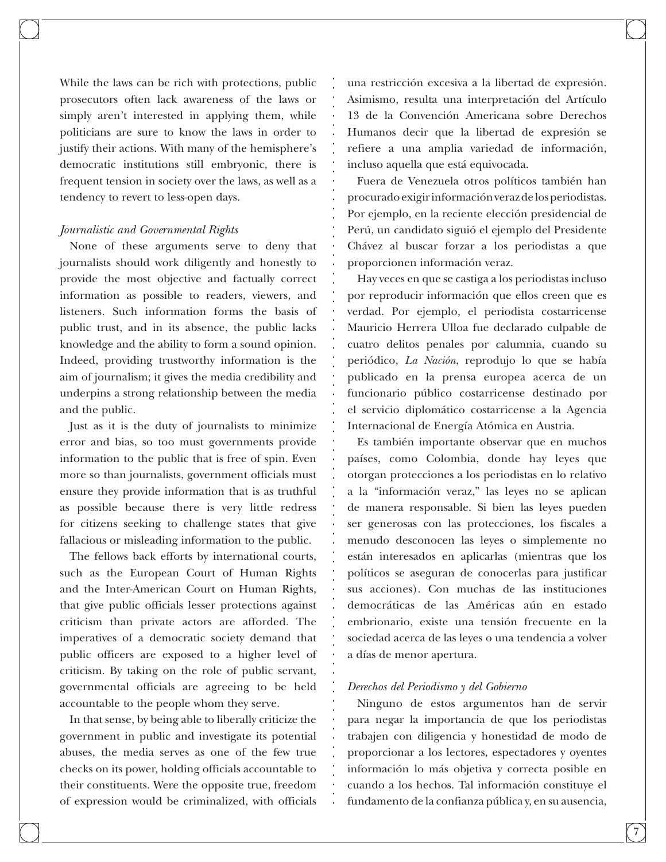While the laws can be rich with protections, public prosecutors often lack awareness of the laws or simply aren't interested in applying them, while politicians are sure to know the laws in order to justify their actions. With many of the hemisphere's democratic institutions still embryonic, there is frequent tension in society over the laws, as well as a tendency to revert to less-open days.

#### *Journalistic and Governmental Rights*

None of these arguments serve to deny that journalists should work diligently and honestly to provide the most objective and factually correct information as possible to readers, viewers, and listeners. Such information forms the basis of public trust, and in its absence, the public lacks knowledge and the ability to form a sound opinion. Indeed, providing trustworthy information is the aim of journalism; it gives the media credibility and underpins a strong relationship between the media and the public.

Just as it is the duty of journalists to minimize error and bias, so too must governments provide information to the public that is free of spin. Even more so than journalists, government officials must ensure they provide information that is as truthful as possible because there is very little redress for citizens seeking to challenge states that give fallacious or misleading information to the public.

The fellows back efforts by international courts, such as the European Court of Human Rights and the Inter-American Court on Human Rights, that give public officials lesser protections against criticism than private actors are afforded. The imperatives of a democratic society demand that public officers are exposed to a higher level of criticism. By taking on the role of public servant, governmental officials are agreeing to be held accountable to the people whom they serve.

In that sense, by being able to liberally criticize the government in public and investigate its potential abuses, the media serves as one of the few true checks on its power, holding officials accountable to their constituents. Were the opposite true, freedom of expression would be criminalized, with officials

una restricción excesiva a la libertad de expresión. Asimismo, resulta una interpretación del Artículo 13 de la Convención Americana sobre Derechos Humanos decir que la libertad de expresión se refiere a una amplia variedad de información, incluso aquella que está equivocada.

Fuera de Venezuela otros políticos también han procurado exigir información veraz de los periodistas. Por ejemplo, en la reciente elección presidencial de Perú, un candidato siguió el ejemplo del Presidente Chávez al buscar forzar a los periodistas a que proporcionen información veraz.

Hay veces en que se castiga a los periodistas incluso por reproducir información que ellos creen que es verdad. Por ejemplo, el periodista costarricense Mauricio Herrera Ulloa fue declarado culpable de cuatro delitos penales por calumnia, cuando su periódico, *La Nación*, reprodujo lo que se había publicado en la prensa europea acerca de un funcionario público costarricense destinado por el servicio diplomático costarricense a la Agencia Internacional de Energía Atómica en Austria.

Es también importante observar que en muchos países, como Colombia, donde hay leyes que otorgan protecciones a los periodistas en lo relativo a la "información veraz," las leyes no se aplican de manera responsable. Si bien las leyes pueden ser generosas con las protecciones, los fiscales a menudo desconocen las leyes o simplemente no están interesados en aplicarlas (mientras que los políticos se aseguran de conocerlas para justificar sus acciones). Con muchas de las instituciones democráticas de las Américas aún en estado embrionario, existe una tensión frecuente en la sociedad acerca de las leyes o una tendencia a volver a días de menor apertura.

#### *Derechos del Periodismo y del Gobierno*

Ninguno de estos argumentos han de servir para negar la importancia de que los periodistas trabajen con diligencia y honestidad de modo de proporcionar a los lectores, espectadores y oyentes información lo más objetiva y correcta posible en cuando a los hechos. Tal información constituye el fundamento de la confianza pública y, en su ausencia,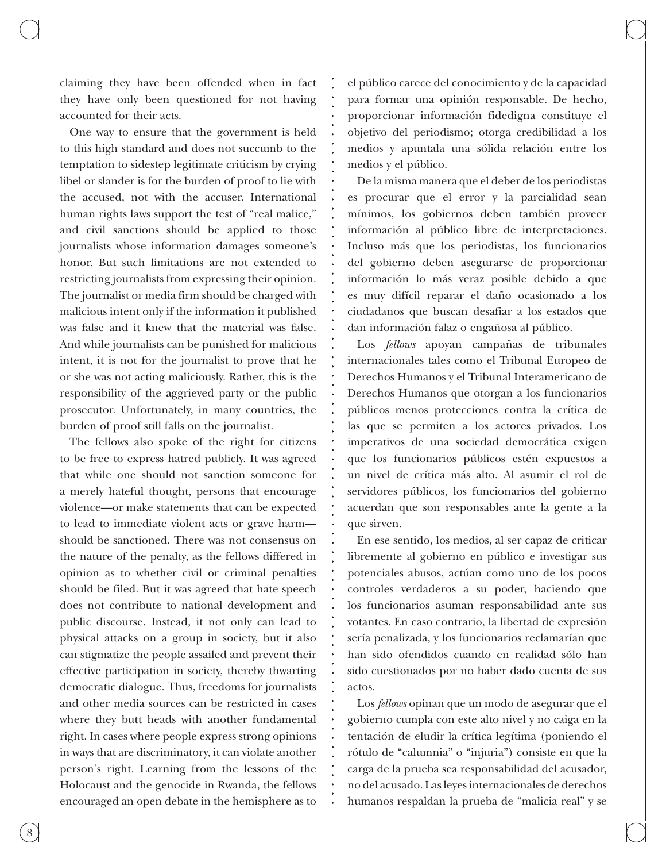claiming they have been offended when in fact they have only been questioned for not having accounted for their acts.

One way to ensure that the government is held to this high standard and does not succumb to the temptation to sidestep legitimate criticism by crying libel or slander is for the burden of proof to lie with the accused, not with the accuser. International human rights laws support the test of "real malice," and civil sanctions should be applied to those journalists whose information damages someone's honor. But such limitations are not extended to restricting journalists from expressing their opinion. The journalist or media firm should be charged with malicious intent only if the information it published was false and it knew that the material was false. And while journalists can be punished for malicious intent, it is not for the journalist to prove that he or she was not acting maliciously. Rather, this is the responsibility of the aggrieved party or the public prosecutor. Unfortunately, in many countries, the burden of proof still falls on the journalist.

The fellows also spoke of the right for citizens to be free to express hatred publicly. It was agreed that while one should not sanction someone for a merely hateful thought, persons that encourage violence—or make statements that can be expected to lead to immediate violent acts or grave harm should be sanctioned. There was not consensus on the nature of the penalty, as the fellows differed in opinion as to whether civil or criminal penalties should be filed. But it was agreed that hate speech does not contribute to national development and public discourse. Instead, it not only can lead to physical attacks on a group in society, but it also can stigmatize the people assailed and prevent their effective participation in society, thereby thwarting democratic dialogue. Thus, freedoms for journalists and other media sources can be restricted in cases where they butt heads with another fundamental right. In cases where people express strong opinions in ways that are discriminatory, it can violate another person's right. Learning from the lessons of the Holocaust and the genocide in Rwanda, the fellows encouraged an open debate in the hemisphere as to

el público carece del conocimiento y de la capacidad para formar una opinión responsable. De hecho, proporcionar información fidedigna constituye el objetivo del periodismo; otorga credibilidad a los medios y apuntala una sólida relación entre los medios y el público.

De la misma manera que el deber de los periodistas es procurar que el error y la parcialidad sean mínimos, los gobiernos deben también proveer información al público libre de interpretaciones. Incluso más que los periodistas, los funcionarios del gobierno deben asegurarse de proporcionar información lo más veraz posible debido a que es muy difícil reparar el daño ocasionado a los ciudadanos que buscan desafiar a los estados que dan información falaz o engañosa al público.

Los *fellows* apoyan campañas de tribunales internacionales tales como el Tribunal Europeo de Derechos Humanos y el Tribunal Interamericano de Derechos Humanos que otorgan a los funcionarios públicos menos protecciones contra la crítica de las que se permiten a los actores privados. Los imperativos de una sociedad democrática exigen que los funcionarios públicos estén expuestos a un nivel de crítica más alto. Al asumir el rol de servidores públicos, los funcionarios del gobierno acuerdan que son responsables ante la gente a la que sirven.

En ese sentido, los medios, al ser capaz de criticar libremente al gobierno en público e investigar sus potenciales abusos, actúan como uno de los pocos controles verdaderos a su poder, haciendo que los funcionarios asuman responsabilidad ante sus votantes. En caso contrario, la libertad de expresión sería penalizada, y los funcionarios reclamarían que han sido ofendidos cuando en realidad sólo han sido cuestionados por no haber dado cuenta de sus actos.

Los *fellows* opinan que un modo de asegurar que el gobierno cumpla con este alto nivel y no caiga en la tentación de eludir la crítica legítima (poniendo el rótulo de "calumnia" o "injuria") consiste en que la carga de la prueba sea responsabilidad del acusador, no del acusado. Las leyes internacionales de derechos humanos respaldan la prueba de "malicia real" y se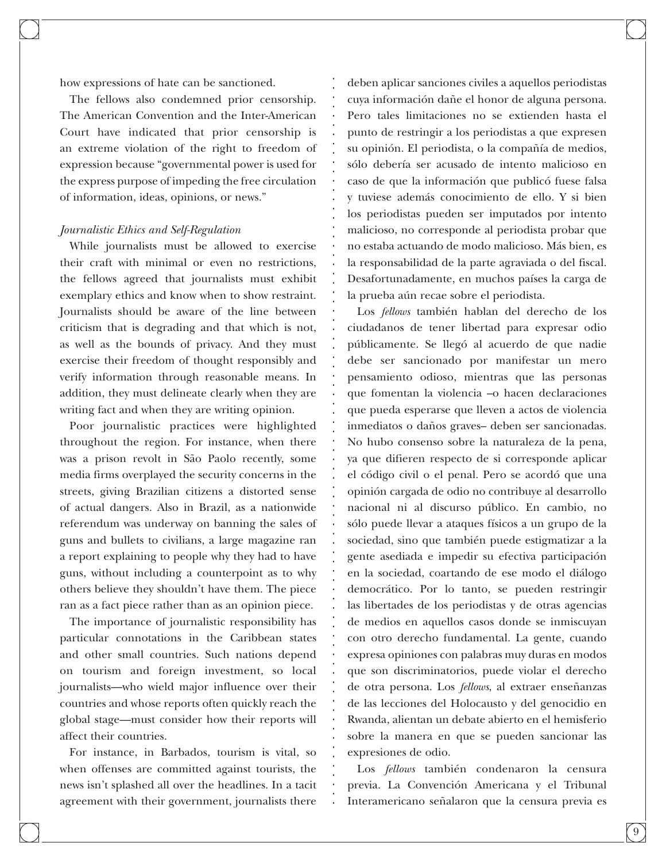how expressions of hate can be sanctioned.

The fellows also condemned prior censorship. The American Convention and the Inter-American Court have indicated that prior censorship is an extreme violation of the right to freedom of expression because "governmental power is used for the express purpose of impeding the free circulation of information, ideas, opinions, or news."

#### *Journalistic Ethics and Self-Regulation*

While journalists must be allowed to exercise their craft with minimal or even no restrictions, the fellows agreed that journalists must exhibit exemplary ethics and know when to show restraint. Journalists should be aware of the line between criticism that is degrading and that which is not, as well as the bounds of privacy. And they must exercise their freedom of thought responsibly and verify information through reasonable means. In addition, they must delineate clearly when they are writing fact and when they are writing opinion.

Poor journalistic practices were highlighted throughout the region. For instance, when there was a prison revolt in São Paolo recently, some media firms overplayed the security concerns in the streets, giving Brazilian citizens a distorted sense of actual dangers. Also in Brazil, as a nationwide referendum was underway on banning the sales of guns and bullets to civilians, a large magazine ran a report explaining to people why they had to have guns, without including a counterpoint as to why others believe they shouldn't have them. The piece ran as a fact piece rather than as an opinion piece.

The importance of journalistic responsibility has particular connotations in the Caribbean states and other small countries. Such nations depend on tourism and foreign investment, so local journalists—who wield major influence over their countries and whose reports often quickly reach the global stage—must consider how their reports will affect their countries.

For instance, in Barbados, tourism is vital, so when offenses are committed against tourists, the news isn't splashed all over the headlines. In a tacit agreement with their government, journalists there

deben aplicar sanciones civiles a aquellos periodistas cuya información dañe el honor de alguna persona. Pero tales limitaciones no se extienden hasta el punto de restringir a los periodistas a que expresen su opinión. El periodista, o la compañía de medios, sólo debería ser acusado de intento malicioso en caso de que la información que publicó fuese falsa y tuviese además conocimiento de ello. Y si bien los periodistas pueden ser imputados por intento malicioso, no corresponde al periodista probar que no estaba actuando de modo malicioso. Más bien, es la responsabilidad de la parte agraviada o del fiscal. Desafortunadamente, en muchos países la carga de la prueba aún recae sobre el periodista.

Los *fellows* también hablan del derecho de los ciudadanos de tener libertad para expresar odio públicamente. Se llegó al acuerdo de que nadie debe ser sancionado por manifestar un mero pensamiento odioso, mientras que las personas que fomentan la violencia –o hacen declaraciones que pueda esperarse que lleven a actos de violencia inmediatos o daños graves– deben ser sancionadas. No hubo consenso sobre la naturaleza de la pena, ya que difieren respecto de si corresponde aplicar el código civil o el penal. Pero se acordó que una opinión cargada de odio no contribuye al desarrollo nacional ni al discurso público. En cambio, no sólo puede llevar a ataques físicos a un grupo de la sociedad, sino que también puede estigmatizar a la gente asediada e impedir su efectiva participación en la sociedad, coartando de ese modo el diálogo democrático. Por lo tanto, se pueden restringir las libertades de los periodistas y de otras agencias de medios en aquellos casos donde se inmiscuyan con otro derecho fundamental. La gente, cuando expresa opiniones con palabras muy duras en modos que son discriminatorios, puede violar el derecho de otra persona. Los *fellows*, al extraer enseñanzas de las lecciones del Holocausto y del genocidio en Rwanda, alientan un debate abierto en el hemisferio sobre la manera en que se pueden sancionar las expresiones de odio.

Los *fellows* también condenaron la censura previa. La Convención Americana y el Tribunal Interamericano señalaron que la censura previa es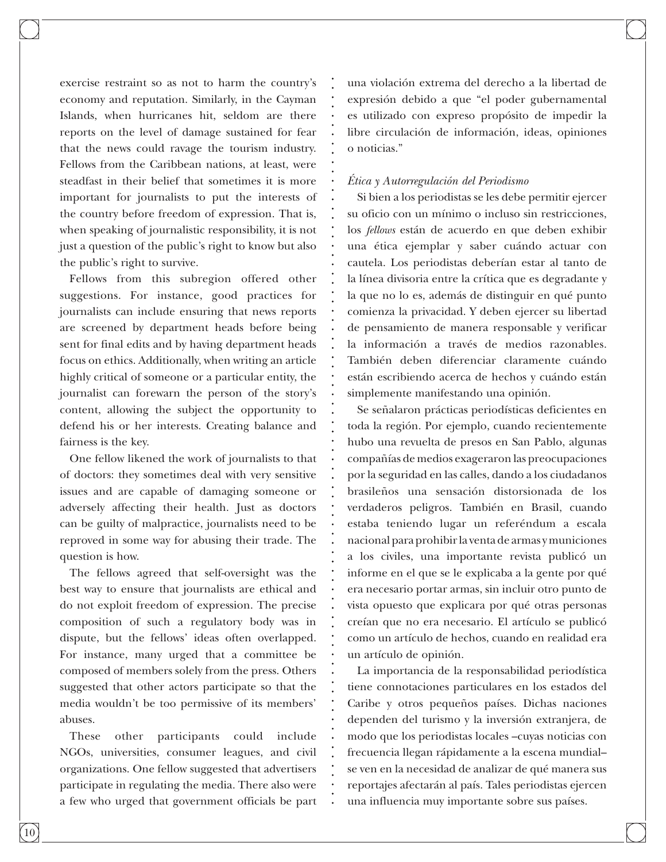exercise restraint so as not to harm the country's economy and reputation. Similarly, in the Cayman Islands, when hurricanes hit, seldom are there reports on the level of damage sustained for fear that the news could ravage the tourism industry. Fellows from the Caribbean nations, at least, were steadfast in their belief that sometimes it is more important for journalists to put the interests of the country before freedom of expression. That is, when speaking of journalistic responsibility, it is not just a question of the public's right to know but also the public's right to survive.

Fellows from this subregion offered other suggestions. For instance, good practices for journalists can include ensuring that news reports are screened by department heads before being sent for final edits and by having department heads focus on ethics. Additionally, when writing an article highly critical of someone or a particular entity, the journalist can forewarn the person of the story's content, allowing the subject the opportunity to defend his or her interests. Creating balance and fairness is the key.

One fellow likened the work of journalists to that of doctors: they sometimes deal with very sensitive issues and are capable of damaging someone or adversely affecting their health. Just as doctors can be guilty of malpractice, journalists need to be reproved in some way for abusing their trade. The question is how.

The fellows agreed that self-oversight was the best way to ensure that journalists are ethical and do not exploit freedom of expression. The precise composition of such a regulatory body was in dispute, but the fellows' ideas often overlapped. For instance, many urged that a committee be composed of members solely from the press. Others suggested that other actors participate so that the media wouldn't be too permissive of its members' abuses.

These other participants could include NGOs, universities, consumer leagues, and civil organizations. One fellow suggested that advertisers participate in regulating the media. There also were a few who urged that government officials be part

una violación extrema del derecho a la libertad de expresión debido a que "el poder gubernamental es utilizado con expreso propósito de impedir la libre circulación de información, ideas, opiniones o noticias."

#### *Ética y Autorregulación del Periodismo*

Si bien a los periodistas se les debe permitir ejercer su oficio con un mínimo o incluso sin restricciones, los *fellows* están de acuerdo en que deben exhibir una ética ejemplar y saber cuándo actuar con cautela. Los periodistas deberían estar al tanto de la línea divisoria entre la crítica que es degradante y la que no lo es, además de distinguir en qué punto comienza la privacidad. Y deben ejercer su libertad de pensamiento de manera responsable y verificar la información a través de medios razonables. También deben diferenciar claramente cuándo están escribiendo acerca de hechos y cuándo están simplemente manifestando una opinión.

Se señalaron prácticas periodísticas deficientes en toda la región. Por ejemplo, cuando recientemente hubo una revuelta de presos en San Pablo, algunas compañías de medios exageraron las preocupaciones por la seguridad en las calles, dando a los ciudadanos brasileños una sensación distorsionada de los verdaderos peligros. También en Brasil, cuando estaba teniendo lugar un referéndum a escala nacional para prohibir la venta de armas y municiones a los civiles, una importante revista publicó un informe en el que se le explicaba a la gente por qué era necesario portar armas, sin incluir otro punto de vista opuesto que explicara por qué otras personas creían que no era necesario. El artículo se publicó como un artículo de hechos, cuando en realidad era un artículo de opinión.

La importancia de la responsabilidad periodística tiene connotaciones particulares en los estados del Caribe y otros pequeños países. Dichas naciones dependen del turismo y la inversión extranjera, de modo que los periodistas locales –cuyas noticias con frecuencia llegan rápidamente a la escena mundial– se ven en la necesidad de analizar de qué manera sus reportajes afectarán al país. Tales periodistas ejercen una influencia muy importante sobre sus países.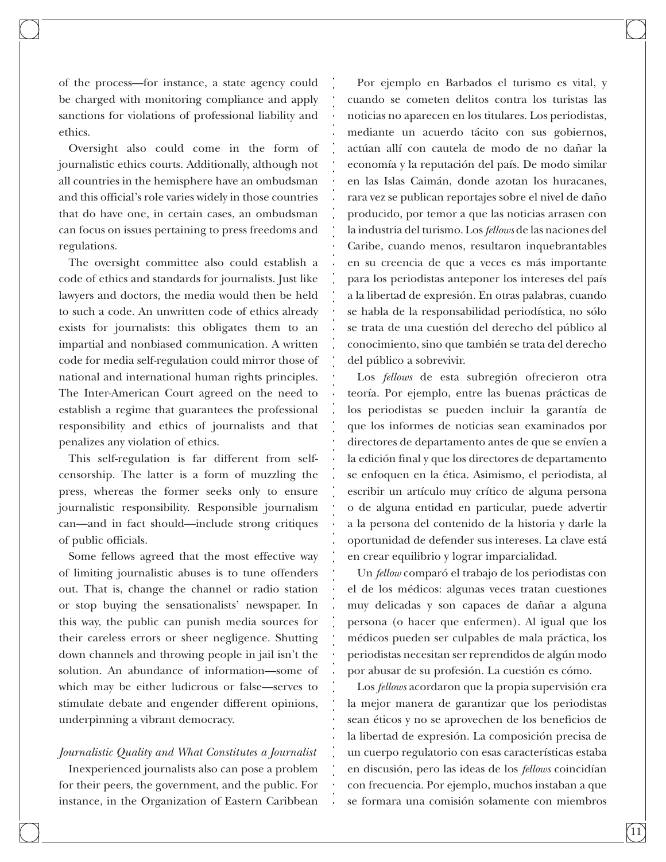of the process—for instance, a state agency could be charged with monitoring compliance and apply sanctions for violations of professional liability and ethics.

Oversight also could come in the form of journalistic ethics courts. Additionally, although not all countries in the hemisphere have an ombudsman and this official's role varies widely in those countries that do have one, in certain cases, an ombudsman can focus on issues pertaining to press freedoms and regulations.

The oversight committee also could establish a code of ethics and standards for journalists. Just like lawyers and doctors, the media would then be held to such a code. An unwritten code of ethics already exists for journalists: this obligates them to an impartial and nonbiased communication. A written code for media self-regulation could mirror those of national and international human rights principles. The Inter-American Court agreed on the need to establish a regime that guarantees the professional responsibility and ethics of journalists and that penalizes any violation of ethics.

This self-regulation is far different from selfcensorship. The latter is a form of muzzling the press, whereas the former seeks only to ensure journalistic responsibility. Responsible journalism can—and in fact should—include strong critiques of public officials.

Some fellows agreed that the most effective way of limiting journalistic abuses is to tune offenders out. That is, change the channel or radio station or stop buying the sensationalists' newspaper. In this way, the public can punish media sources for their careless errors or sheer negligence. Shutting down channels and throwing people in jail isn't the solution. An abundance of information—some of which may be either ludicrous or false—serves to stimulate debate and engender different opinions, underpinning a vibrant democracy.

#### *Journalistic Quality and What Constitutes a Journalist*

Inexperienced journalists also can pose a problem for their peers, the government, and the public. For instance, in the Organization of Eastern Caribbean

Por ejemplo en Barbados el turismo es vital, y cuando se cometen delitos contra los turistas las noticias no aparecen en los titulares. Los periodistas, mediante un acuerdo tácito con sus gobiernos, actúan allí con cautela de modo de no dañar la economía y la reputación del país. De modo similar en las Islas Caimán, donde azotan los huracanes, rara vez se publican reportajes sobre el nivel de daño producido, por temor a que las noticias arrasen con la industria del turismo. Los *fellows* de las naciones del Caribe, cuando menos, resultaron inquebrantables en su creencia de que a veces es más importante para los periodistas anteponer los intereses del país a la libertad de expresión. En otras palabras, cuando se habla de la responsabilidad periodística, no sólo se trata de una cuestión del derecho del público al conocimiento, sino que también se trata del derecho del público a sobrevivir.

Los *fellows* de esta subregión ofrecieron otra teoría. Por ejemplo, entre las buenas prácticas de los periodistas se pueden incluir la garantía de que los informes de noticias sean examinados por directores de departamento antes de que se envíen a la edición final y que los directores de departamento se enfoquen en la ética. Asimismo, el periodista, al escribir un artículo muy crítico de alguna persona o de alguna entidad en particular, puede advertir a la persona del contenido de la historia y darle la oportunidad de defender sus intereses. La clave está en crear equilibrio y lograr imparcialidad.

Un *fellow* comparó el trabajo de los periodistas con el de los médicos: algunas veces tratan cuestiones muy delicadas y son capaces de dañar a alguna persona (o hacer que enfermen). Al igual que los médicos pueden ser culpables de mala práctica, los periodistas necesitan ser reprendidos de algún modo por abusar de su profesión. La cuestión es cómo.

Los *fellows* acordaron que la propia supervisión era la mejor manera de garantizar que los periodistas sean éticos y no se aprovechen de los beneficios de la libertad de expresión. La composición precisa de un cuerpo regulatorio con esas características estaba en discusión, pero las ideas de los *fellows* coincidían con frecuencia. Por ejemplo, muchos instaban a que se formara una comisión solamente con miembros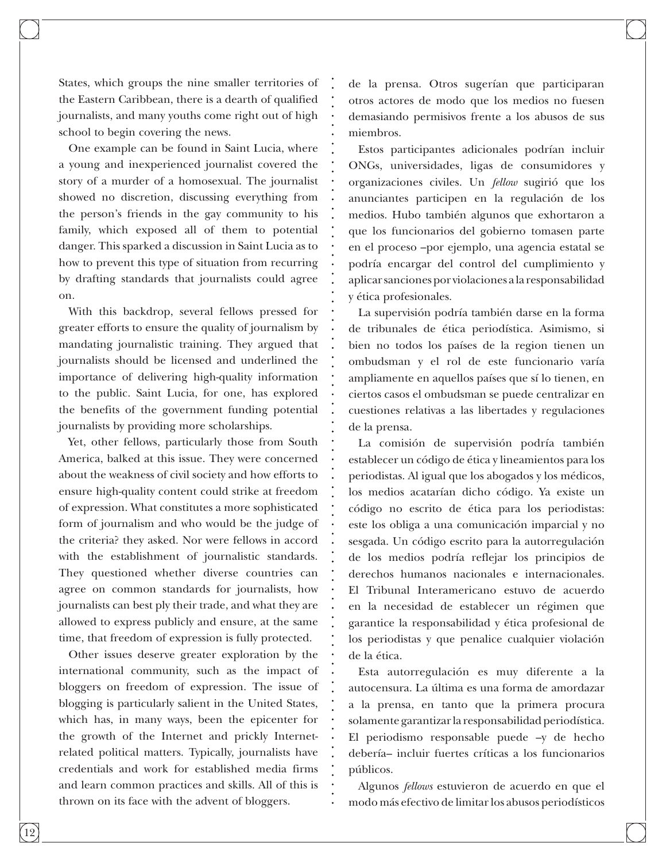States, which groups the nine smaller territories of the Eastern Caribbean, there is a dearth of qualified journalists, and many youths come right out of high school to begin covering the news.

One example can be found in Saint Lucia, where a young and inexperienced journalist covered the story of a murder of a homosexual. The journalist showed no discretion, discussing everything from the person's friends in the gay community to his family, which exposed all of them to potential danger. This sparked a discussion in Saint Lucia as to how to prevent this type of situation from recurring by drafting standards that journalists could agree on.

With this backdrop, several fellows pressed for greater efforts to ensure the quality of journalism by mandating journalistic training. They argued that journalists should be licensed and underlined the importance of delivering high-quality information to the public. Saint Lucia, for one, has explored the benefits of the government funding potential journalists by providing more scholarships.

Yet, other fellows, particularly those from South America, balked at this issue. They were concerned about the weakness of civil society and how efforts to ensure high-quality content could strike at freedom of expression. What constitutes a more sophisticated form of journalism and who would be the judge of the criteria? they asked. Nor were fellows in accord with the establishment of journalistic standards. They questioned whether diverse countries can agree on common standards for journalists, how journalists can best ply their trade, and what they are allowed to express publicly and ensure, at the same time, that freedom of expression is fully protected.

Other issues deserve greater exploration by the international community, such as the impact of bloggers on freedom of expression. The issue of blogging is particularly salient in the United States, which has, in many ways, been the epicenter for the growth of the Internet and prickly Internetrelated political matters. Typically, journalists have credentials and work for established media firms and learn common practices and skills. All of this is thrown on its face with the advent of bloggers.

de la prensa. Otros sugerían que participaran otros actores de modo que los medios no fuesen demasiando permisivos frente a los abusos de sus miembros.

Estos participantes adicionales podrían incluir ONGs, universidades, ligas de consumidores y organizaciones civiles. Un *fellow* sugirió que los anunciantes participen en la regulación de los medios. Hubo también algunos que exhortaron a que los funcionarios del gobierno tomasen parte en el proceso –por ejemplo, una agencia estatal se podría encargar del control del cumplimiento y aplicar sanciones por violaciones a la responsabilidad y ética profesionales.

La supervisión podría también darse en la forma de tribunales de ética periodística. Asimismo, si bien no todos los países de la region tienen un ombudsman y el rol de este funcionario varía ampliamente en aquellos países que sí lo tienen, en ciertos casos el ombudsman se puede centralizar en cuestiones relativas a las libertades y regulaciones de la prensa.

La comisión de supervisión podría también establecer un código de ética y lineamientos para los periodistas. Al igual que los abogados y los médicos, los medios acatarían dicho código. Ya existe un código no escrito de ética para los periodistas: este los obliga a una comunicación imparcial y no sesgada. Un código escrito para la autorregulación de los medios podría reflejar los principios de derechos humanos nacionales e internacionales. El Tribunal Interamericano estuvo de acuerdo en la necesidad de establecer un régimen que garantice la responsabilidad y ética profesional de los periodistas y que penalice cualquier violación de la ética.

Esta autorregulación es muy diferente a la autocensura. La última es una forma de amordazar a la prensa, en tanto que la primera procura solamente garantizar la responsabilidad periodística. El periodismo responsable puede –y de hecho debería– incluir fuertes críticas a los funcionarios públicos.

Algunos *fellows* estuvieron de acuerdo en que el modo más efectivo de limitar los abusos periodísticos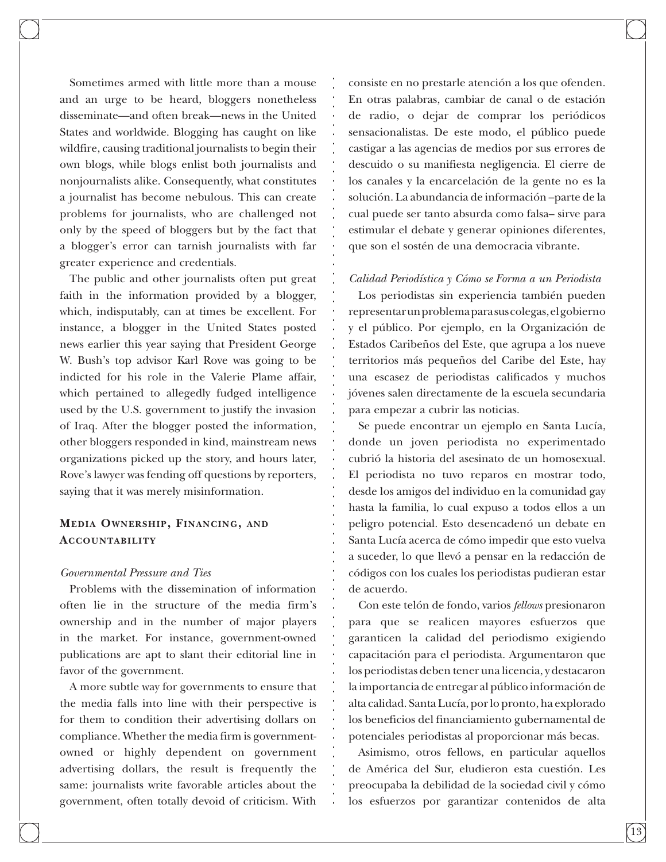Sometimes armed with little more than a mouse and an urge to be heard, bloggers nonetheless disseminate—and often break—news in the United States and worldwide. Blogging has caught on like wildfire, causing traditional journalists to begin their own blogs, while blogs enlist both journalists and nonjournalists alike. Consequently, what constitutes a journalist has become nebulous. This can create problems for journalists, who are challenged not only by the speed of bloggers but by the fact that a blogger's error can tarnish journalists with far greater experience and credentials.

The public and other journalists often put great faith in the information provided by a blogger, which, indisputably, can at times be excellent. For instance, a blogger in the United States posted news earlier this year saying that President George W. Bush's top advisor Karl Rove was going to be indicted for his role in the Valerie Plame affair, which pertained to allegedly fudged intelligence used by the U.S. government to justify the invasion of Iraq. After the blogger posted the information, other bloggers responded in kind, mainstream news organizations picked up the story, and hours later, Rove's lawyer was fending off questions by reporters, saying that it was merely misinformation.

#### **Media Ownership, Financing, and Accountability**

#### *Governmental Pressure and Ties*

Problems with the dissemination of information often lie in the structure of the media firm's ownership and in the number of major players in the market. For instance, government-owned publications are apt to slant their editorial line in favor of the government.

A more subtle way for governments to ensure that the media falls into line with their perspective is for them to condition their advertising dollars on compliance. Whether the media firm is governmentowned or highly dependent on government advertising dollars, the result is frequently the same: journalists write favorable articles about the government, often totally devoid of criticism. With

consiste en no prestarle atención a los que ofenden. En otras palabras, cambiar de canal o de estación de radio, o dejar de comprar los periódicos sensacionalistas. De este modo, el público puede castigar a las agencias de medios por sus errores de descuido o su manifiesta negligencia. El cierre de los canales y la encarcelación de la gente no es la solución. La abundancia de información –parte de la cual puede ser tanto absurda como falsa– sirve para estimular el debate y generar opiniones diferentes, que son el sostén de una democracia vibrante.

#### *Calidad Periodística y Cómo se Forma a un Periodista*

Los periodistas sin experiencia también pueden representar un problema para sus colegas, el gobierno y el público. Por ejemplo, en la Organización de Estados Caribeños del Este, que agrupa a los nueve territorios más pequeños del Caribe del Este, hay una escasez de periodistas calificados y muchos jóvenes salen directamente de la escuela secundaria para empezar a cubrir las noticias.

Se puede encontrar un ejemplo en Santa Lucía, donde un joven periodista no experimentado cubrió la historia del asesinato de un homosexual. El periodista no tuvo reparos en mostrar todo, desde los amigos del individuo en la comunidad gay hasta la familia, lo cual expuso a todos ellos a un peligro potencial. Esto desencadenó un debate en Santa Lucía acerca de cómo impedir que esto vuelva a suceder, lo que llevó a pensar en la redacción de códigos con los cuales los periodistas pudieran estar de acuerdo.

Con este telón de fondo, varios *fellows* presionaron para que se realicen mayores esfuerzos que garanticen la calidad del periodismo exigiendo capacitación para el periodista. Argumentaron que los periodistas deben tener una licencia, y destacaron la importancia de entregar al público información de alta calidad. Santa Lucía, por lo pronto, ha explorado los beneficios del financiamiento gubernamental de potenciales periodistas al proporcionar más becas.

Asimismo, otros fellows, en particular aquellos de América del Sur, eludieron esta cuestión. Les preocupaba la debilidad de la sociedad civil y cómo los esfuerzos por garantizar contenidos de alta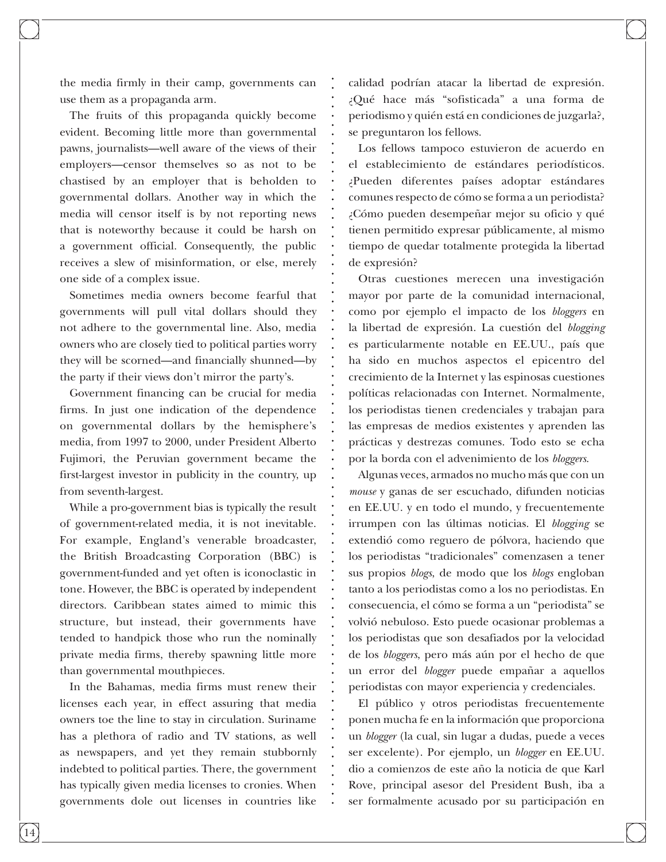the media firmly in their camp, governments can use them as a propaganda arm.

The fruits of this propaganda quickly become evident. Becoming little more than governmental pawns, journalists—well aware of the views of their employers—censor themselves so as not to be chastised by an employer that is beholden to governmental dollars. Another way in which the media will censor itself is by not reporting news that is noteworthy because it could be harsh on a government official. Consequently, the public receives a slew of misinformation, or else, merely one side of a complex issue.

Sometimes media owners become fearful that governments will pull vital dollars should they not adhere to the governmental line. Also, media owners who are closely tied to political parties worry they will be scorned—and financially shunned—by the party if their views don't mirror the party's.

Government financing can be crucial for media firms. In just one indication of the dependence on governmental dollars by the hemisphere's media, from 1997 to 2000, under President Alberto Fujimori, the Peruvian government became the first-largest investor in publicity in the country, up from seventh-largest.

While a pro-government bias is typically the result of government-related media, it is not inevitable. For example, England's venerable broadcaster, the British Broadcasting Corporation (BBC) is government-funded and yet often is iconoclastic in tone. However, the BBC is operated by independent directors. Caribbean states aimed to mimic this structure, but instead, their governments have tended to handpick those who run the nominally private media firms, thereby spawning little more than governmental mouthpieces.

In the Bahamas, media firms must renew their licenses each year, in effect assuring that media owners toe the line to stay in circulation. Suriname has a plethora of radio and TV stations, as well as newspapers, and yet they remain stubbornly indebted to political parties. There, the government has typically given media licenses to cronies. When governments dole out licenses in countries like

calidad podrían atacar la libertad de expresión. ¿Qué hace más "sofisticada" a una forma de periodismo y quién está en condiciones de juzgarla?, se preguntaron los fellows.

Los fellows tampoco estuvieron de acuerdo en el establecimiento de estándares periodísticos. ¿Pueden diferentes países adoptar estándares comunes respecto de cómo se forma a un periodista? ¿Cómo pueden desempeñar mejor su oficio y qué tienen permitido expresar públicamente, al mismo tiempo de quedar totalmente protegida la libertad de expresión?

Otras cuestiones merecen una investigación mayor por parte de la comunidad internacional, como por ejemplo el impacto de los *bloggers* en la libertad de expresión. La cuestión del *blogging* es particularmente notable en EE.UU., país que ha sido en muchos aspectos el epicentro del crecimiento de la Internet y las espinosas cuestiones políticas relacionadas con Internet. Normalmente, los periodistas tienen credenciales y trabajan para las empresas de medios existentes y aprenden las prácticas y destrezas comunes. Todo esto se echa por la borda con el advenimiento de los *bloggers*.

Algunas veces, armados no mucho más que con un *mouse* y ganas de ser escuchado, difunden noticias en EE.UU. y en todo el mundo, y frecuentemente irrumpen con las últimas noticias. El *blogging* se extendió como reguero de pólvora, haciendo que los periodistas "tradicionales" comenzasen a tener sus propios *blogs*, de modo que los *blogs* engloban tanto a los periodistas como a los no periodistas. En consecuencia, el cómo se forma a un "periodista" se volvió nebuloso. Esto puede ocasionar problemas a los periodistas que son desafiados por la velocidad de los *bloggers*, pero más aún por el hecho de que un error del *blogger* puede empañar a aquellos periodistas con mayor experiencia y credenciales.

El público y otros periodistas frecuentemente ponen mucha fe en la información que proporciona un *blogger* (la cual, sin lugar a dudas, puede a veces ser excelente). Por ejemplo, un *blogger* en EE.UU. dio a comienzos de este año la noticia de que Karl Rove, principal asesor del President Bush, iba a ser formalmente acusado por su participación en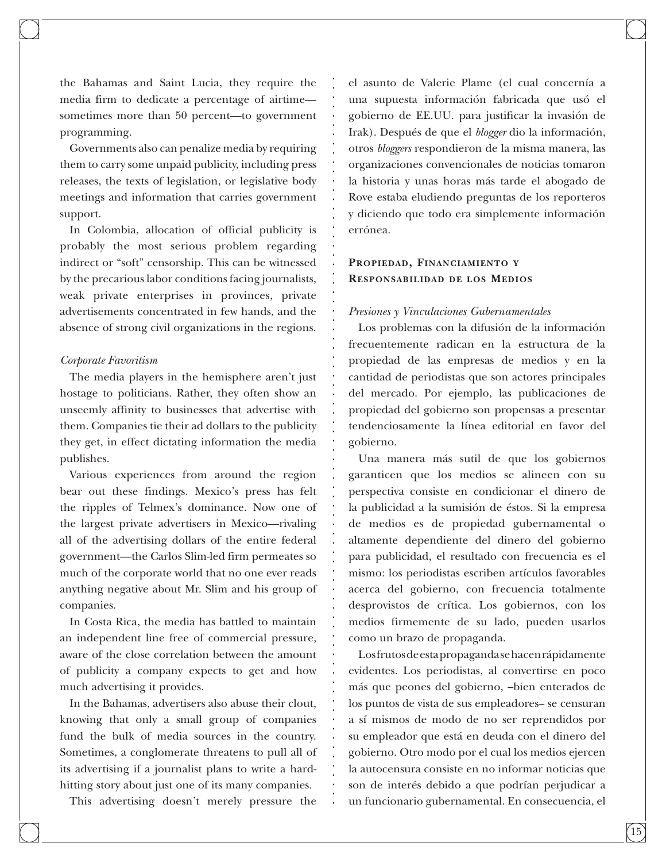the Bahamas and Saint Lucia, they require the media firm to dedicate a percentage of airtime sometimes more than 50 percent—to government programming.

Governments also can penalize media by requiring them to carry some unpaid publicity, including press releases, the texts of legislation, or legislative body meetings and information that carries government support.

In Colombia, allocation of official publicity is probably the most serious problem regarding indirect or "soft" censorship. This can be witnessed by the precarious labor conditions facing journalists, weak private enterprises in provinces, private advertisements concentrated in few hands, and the absence of strong civil organizations in the regions.

#### *Corporate Favoritism*

The media players in the hemisphere aren't just hostage to politicians. Rather, they often show an unseemly affinity to businesses that advertise with them. Companies tie their ad dollars to the publicity they get, in effect dictating information the media publishes.

Various experiences from around the region bear out these findings. Mexico's press has felt the ripples of Telmex's dominance. Now one of the largest private advertisers in Mexico—rivaling all of the advertising dollars of the entire federal government—the Carlos Slim-led firm permeates so much of the corporate world that no one ever reads anything negative about Mr. Slim and his group of companies.

In Costa Rica, the media has battled to maintain an independent line free of commercial pressure, aware of the close correlation between the amount of publicity a company expects to get and how much advertising it provides.

In the Bahamas, advertisers also abuse their clout, knowing that only a small group of companies fund the bulk of media sources in the country. Sometimes, a conglomerate threatens to pull all of its advertising if a journalist plans to write a hardhitting story about just one of its many companies.

This advertising doesn't merely pressure the

el asunto de Valerie Plame (el cual concernía a una supuesta información fabricada que usó el gobierno de EE.UU. para justificar la invasión de Irak). Después de que el *blogger* dio la información, otros *bloggers* respondieron de la misma manera, las organizaciones convencionales de noticias tomaron la historia y unas horas más tarde el abogado de Rove estaba eludiendo preguntas de los reporteros y diciendo que todo era simplemente información errónea.

### **Propiedad, Financiamiento y Responsabilidad de los Medios**

#### *Presiones y Vinculaciones Gubernamentales*

Los problemas con la difusión de la información frecuentemente radican en la estructura de la propiedad de las empresas de medios y en la cantidad de periodistas que son actores principales del mercado. Por ejemplo, las publicaciones de propiedad del gobierno son propensas a presentar tendenciosamente la línea editorial en favor del gobierno.

Una manera más sutil de que los gobiernos garanticen que los medios se alineen con su perspectiva consiste en condicionar el dinero de la publicidad a la sumisión de éstos. Si la empresa de medios es de propiedad gubernamental o altamente dependiente del dinero del gobierno para publicidad, el resultado con frecuencia es el mismo: los periodistas escriben artículos favorables acerca del gobierno, con frecuencia totalmente desprovistos de crítica. Los gobiernos, con los medios firmemente de su lado, pueden usarlos como un brazo de propaganda.

Los frutos de esta propaganda se hacen rápidamente evidentes. Los periodistas, al convertirse en poco más que peones del gobierno, –bien enterados de los puntos de vista de sus empleadores– se censuran a sí mismos de modo de no ser reprendidos por su empleador que está en deuda con el dinero del gobierno. Otro modo por el cual los medios ejercen la autocensura consiste en no informar noticias que son de interés debido a que podrían perjudicar a un funcionario gubernamental. En consecuencia, el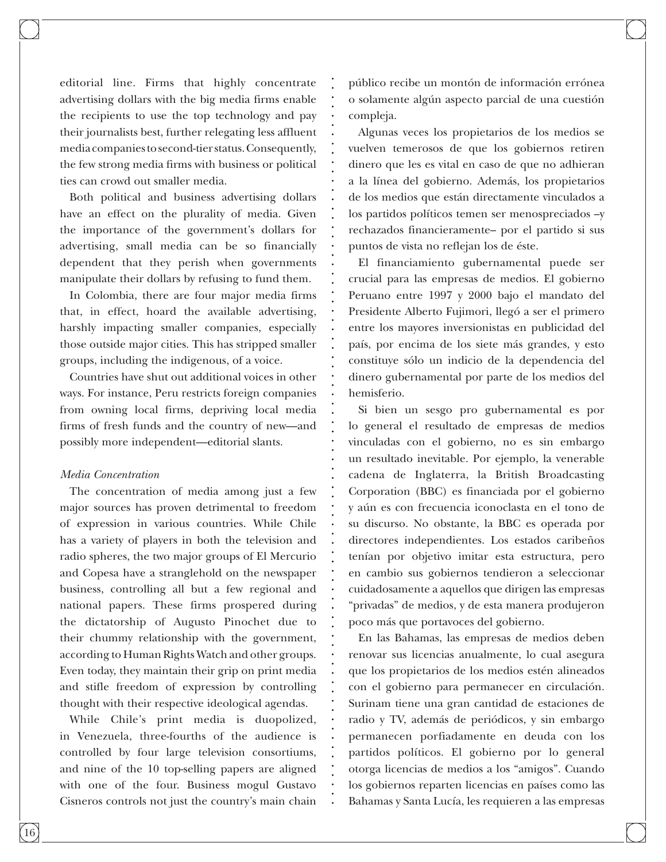editorial line. Firms that highly concentrate advertising dollars with the big media firms enable the recipients to use the top technology and pay their journalists best, further relegating less affluent media companies to second-tier status. Consequently, the few strong media firms with business or political ties can crowd out smaller media.

Both political and business advertising dollars have an effect on the plurality of media. Given the importance of the government's dollars for advertising, small media can be so financially dependent that they perish when governments manipulate their dollars by refusing to fund them.

In Colombia, there are four major media firms that, in effect, hoard the available advertising, harshly impacting smaller companies, especially those outside major cities. This has stripped smaller groups, including the indigenous, of a voice.

Countries have shut out additional voices in other ways. For instance, Peru restricts foreign companies from owning local firms, depriving local media firms of fresh funds and the country of new—and possibly more independent—editorial slants.

#### *Media Concentration*

The concentration of media among just a few major sources has proven detrimental to freedom of expression in various countries. While Chile has a variety of players in both the television and radio spheres, the two major groups of El Mercurio and Copesa have a stranglehold on the newspaper business, controlling all but a few regional and national papers. These firms prospered during the dictatorship of Augusto Pinochet due to their chummy relationship with the government, according to Human Rights Watch and other groups. Even today, they maintain their grip on print media and stifle freedom of expression by controlling thought with their respective ideological agendas.

While Chile's print media is duopolized, in Venezuela, three-fourths of the audience is controlled by four large television consortiums, and nine of the 10 top-selling papers are aligned with one of the four. Business mogul Gustavo Cisneros controls not just the country's main chain público recibe un montón de información errónea o solamente algún aspecto parcial de una cuestión compleja.

Algunas veces los propietarios de los medios se vuelven temerosos de que los gobiernos retiren dinero que les es vital en caso de que no adhieran a la línea del gobierno. Además, los propietarios de los medios que están directamente vinculados a los partidos políticos temen ser menospreciados –y rechazados financieramente– por el partido si sus puntos de vista no reflejan los de éste.

El financiamiento gubernamental puede ser crucial para las empresas de medios. El gobierno Peruano entre 1997 y 2000 bajo el mandato del Presidente Alberto Fujimori, llegó a ser el primero entre los mayores inversionistas en publicidad del país, por encima de los siete más grandes, y esto constituye sólo un indicio de la dependencia del dinero gubernamental por parte de los medios del hemisferio.

Si bien un sesgo pro gubernamental es por lo general el resultado de empresas de medios vinculadas con el gobierno, no es sin embargo un resultado inevitable. Por ejemplo, la venerable cadena de Inglaterra, la British Broadcasting Corporation (BBC) es financiada por el gobierno y aún es con frecuencia iconoclasta en el tono de su discurso. No obstante, la BBC es operada por directores independientes. Los estados caribeños tenían por objetivo imitar esta estructura, pero en cambio sus gobiernos tendieron a seleccionar cuidadosamente a aquellos que dirigen las empresas "privadas" de medios, y de esta manera produjeron poco más que portavoces del gobierno.

En las Bahamas, las empresas de medios deben renovar sus licencias anualmente, lo cual asegura que los propietarios de los medios estén alineados con el gobierno para permanecer en circulación. Surinam tiene una gran cantidad de estaciones de radio y TV, además de periódicos, y sin embargo permanecen porfiadamente en deuda con los partidos políticos. El gobierno por lo general otorga licencias de medios a los "amigos". Cuando los gobiernos reparten licencias en países como las Bahamas y Santa Lucía, les requieren a las empresas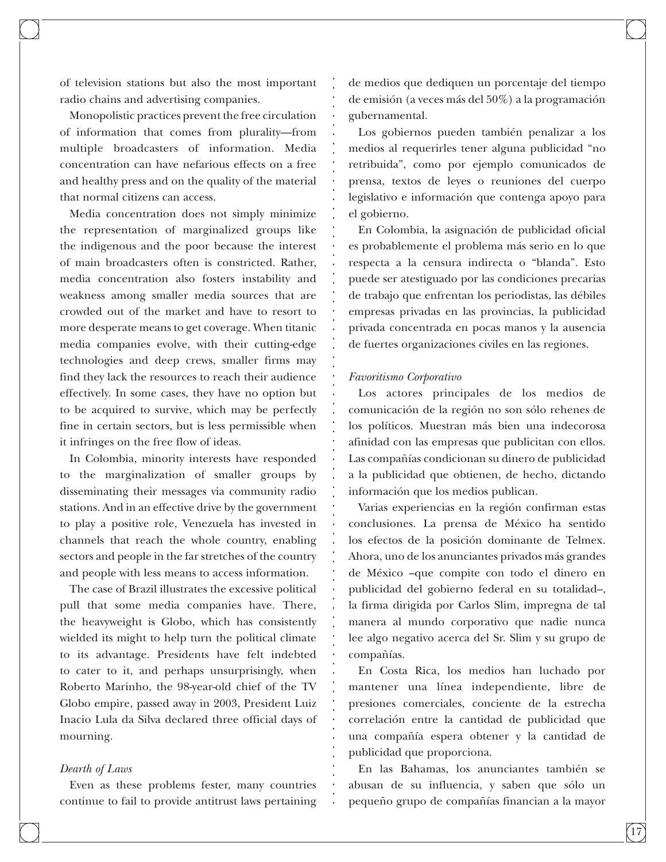of television stations but also the most important radio chains and advertising companies.

Monopolistic practices prevent the free circulation of information that comes from plurality—from multiple broadcasters of information. Media concentration can have nefarious effects on a free and healthy press and on the quality of the material that normal citizens can access.

Media concentration does not simply minimize the representation of marginalized groups like the indigenous and the poor because the interest of main broadcasters often is constricted. Rather, media concentration also fosters instability and weakness among smaller media sources that are crowded out of the market and have to resort to more desperate means to get coverage. When titanic media companies evolve, with their cutting-edge technologies and deep crews, smaller firms may find they lack the resources to reach their audience effectively. In some cases, they have no option but to be acquired to survive, which may be perfectly fine in certain sectors, but is less permissible when it infringes on the free flow of ideas.

In Colombia, minority interests have responded to the marginalization of smaller groups by disseminating their messages via community radio stations. And in an effective drive by the government to play a positive role, Venezuela has invested in channels that reach the whole country, enabling sectors and people in the far stretches of the country and people with less means to access information.

The case of Brazil illustrates the excessive political pull that some media companies have. There, the heavyweight is Globo, which has consistently wielded its might to help turn the political climate to its advantage. Presidents have felt indebted to cater to it, and perhaps unsurprisingly, when Roberto Marinho, the 98-year-old chief of the TV Globo empire, passed away in 2003, President Luiz Inacio Lula da Silva declared three official days of mourning.

#### *Dearth of Laws*

Even as these problems fester, many countries continue to fail to provide antitrust laws pertaining de medios que dediquen un porcentaje del tiempo de emisión (a veces más del 50%) a la programación gubernamental.

Los gobiernos pueden también penalizar a los medios al requerirles tener alguna publicidad "no retribuida", como por ejemplo comunicados de prensa, textos de leyes o reuniones del cuerpo legislativo e información que contenga apoyo para el gobierno.

En Colombia, la asignación de publicidad oficial es probablemente el problema más serio en lo que respecta a la censura indirecta o "blanda". Esto puede ser atestiguado por las condiciones precarias de trabajo que enfrentan los periodistas, las débiles empresas privadas en las provincias, la publicidad privada concentrada en pocas manos y la ausencia de fuertes organizaciones civiles en las regiones.

#### *Favoritismo Corporativo*

Los actores principales de los medios de comunicación de la región no son sólo rehenes de los políticos. Muestran más bien una indecorosa afinidad con las empresas que publicitan con ellos. Las compañías condicionan su dinero de publicidad a la publicidad que obtienen, de hecho, dictando información que los medios publican.

Varias experiencias en la región confirman estas conclusiones. La prensa de México ha sentido los efectos de la posición dominante de Telmex. Ahora, uno de los anunciantes privados más grandes de México –que compite con todo el dinero en publicidad del gobierno federal en su totalidad–, la firma dirigida por Carlos Slim, impregna de tal manera al mundo corporativo que nadie nunca lee algo negativo acerca del Sr. Slim y su grupo de compañías.

En Costa Rica, los medios han luchado por mantener una línea independiente, libre de presiones comerciales, conciente de la estrecha correlación entre la cantidad de publicidad que una compañía espera obtener y la cantidad de publicidad que proporciona.

En las Bahamas, los anunciantes también se abusan de su influencia, y saben que sólo un pequeño grupo de compañías financian a la mayor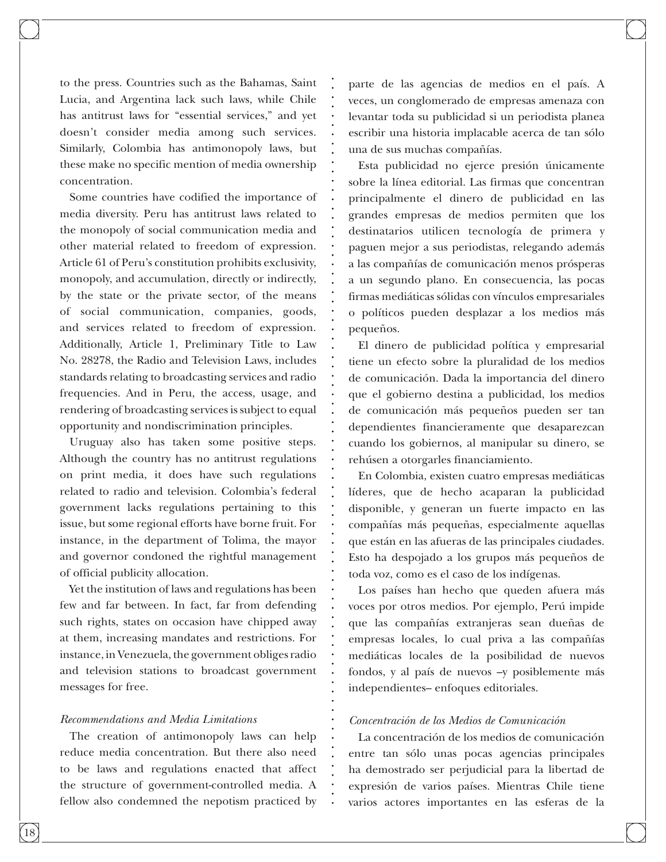to the press. Countries such as the Bahamas, Saint Lucia, and Argentina lack such laws, while Chile has antitrust laws for "essential services," and yet doesn't consider media among such services. Similarly, Colombia has antimonopoly laws, but these make no specific mention of media ownership concentration.

Some countries have codified the importance of media diversity. Peru has antitrust laws related to the monopoly of social communication media and other material related to freedom of expression. Article 61 of Peru's constitution prohibits exclusivity, monopoly, and accumulation, directly or indirectly, by the state or the private sector, of the means of social communication, companies, goods, and services related to freedom of expression. Additionally, Article 1, Preliminary Title to Law No. 28278, the Radio and Television Laws, includes standards relating to broadcasting services and radio frequencies. And in Peru, the access, usage, and rendering of broadcasting services is subject to equal opportunity and nondiscrimination principles.

Uruguay also has taken some positive steps. Although the country has no antitrust regulations on print media, it does have such regulations related to radio and television. Colombia's federal government lacks regulations pertaining to this issue, but some regional efforts have borne fruit. For instance, in the department of Tolima, the mayor and governor condoned the rightful management of official publicity allocation.

Yet the institution of laws and regulations has been few and far between. In fact, far from defending such rights, states on occasion have chipped away at them, increasing mandates and restrictions. For instance, in Venezuela, the government obliges radio and television stations to broadcast government messages for free.

#### *Recommendations and Media Limitations*

The creation of antimonopoly laws can help reduce media concentration. But there also need to be laws and regulations enacted that affect the structure of government-controlled media. A fellow also condemned the nepotism practiced by

parte de las agencias de medios en el país. A veces, un conglomerado de empresas amenaza con levantar toda su publicidad si un periodista planea escribir una historia implacable acerca de tan sólo una de sus muchas compañías.

Esta publicidad no ejerce presión únicamente sobre la línea editorial. Las firmas que concentran principalmente el dinero de publicidad en las grandes empresas de medios permiten que los destinatarios utilicen tecnología de primera y paguen mejor a sus periodistas, relegando además a las compañías de comunicación menos prósperas a un segundo plano. En consecuencia, las pocas firmas mediáticas sólidas con vínculos empresariales o políticos pueden desplazar a los medios más pequeños.

El dinero de publicidad política y empresarial tiene un efecto sobre la pluralidad de los medios de comunicación. Dada la importancia del dinero que el gobierno destina a publicidad, los medios de comunicación más pequeños pueden ser tan dependientes financieramente que desaparezcan cuando los gobiernos, al manipular su dinero, se rehúsen a otorgarles financiamiento.

En Colombia, existen cuatro empresas mediáticas líderes, que de hecho acaparan la publicidad disponible, y generan un fuerte impacto en las compañías más pequeñas, especialmente aquellas que están en las afueras de las principales ciudades. Esto ha despojado a los grupos más pequeños de toda voz, como es el caso de los indígenas.

Los países han hecho que queden afuera más voces por otros medios. Por ejemplo, Perú impide que las compañías extranjeras sean dueñas de empresas locales, lo cual priva a las compañías mediáticas locales de la posibilidad de nuevos fondos, y al país de nuevos –y posiblemente más independientes– enfoques editoriales.

#### *Concentración de los Medios de Comunicación*

La concentración de los medios de comunicación entre tan sólo unas pocas agencias principales ha demostrado ser perjudicial para la libertad de expresión de varios países. Mientras Chile tiene varios actores importantes en las esferas de la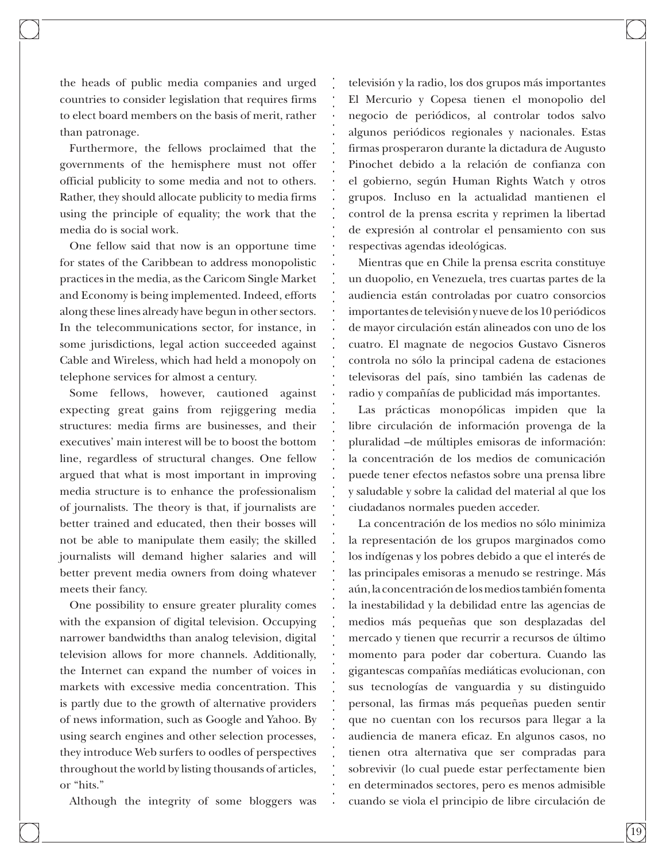the heads of public media companies and urged countries to consider legislation that requires firms to elect board members on the basis of merit, rather than patronage.

Furthermore, the fellows proclaimed that the governments of the hemisphere must not offer official publicity to some media and not to others. Rather, they should allocate publicity to media firms using the principle of equality; the work that the media do is social work.

One fellow said that now is an opportune time for states of the Caribbean to address monopolistic practices in the media, as the Caricom Single Market and Economy is being implemented. Indeed, efforts along these lines already have begun in other sectors. In the telecommunications sector, for instance, in some jurisdictions, legal action succeeded against Cable and Wireless, which had held a monopoly on telephone services for almost a century.

Some fellows, however, cautioned against expecting great gains from rejiggering media structures: media firms are businesses, and their executives' main interest will be to boost the bottom line, regardless of structural changes. One fellow argued that what is most important in improving media structure is to enhance the professionalism of journalists. The theory is that, if journalists are better trained and educated, then their bosses will not be able to manipulate them easily; the skilled journalists will demand higher salaries and will better prevent media owners from doing whatever meets their fancy.

One possibility to ensure greater plurality comes with the expansion of digital television. Occupying narrower bandwidths than analog television, digital television allows for more channels. Additionally, the Internet can expand the number of voices in markets with excessive media concentration. This is partly due to the growth of alternative providers of news information, such as Google and Yahoo. By using search engines and other selection processes, they introduce Web surfers to oodles of perspectives throughout the world by listing thousands of articles, or "hits."

Although the integrity of some bloggers was

televisión y la radio, los dos grupos más importantes El Mercurio y Copesa tienen el monopolio del negocio de periódicos, al controlar todos salvo algunos periódicos regionales y nacionales. Estas firmas prosperaron durante la dictadura de Augusto Pinochet debido a la relación de confianza con el gobierno, según Human Rights Watch y otros grupos. Incluso en la actualidad mantienen el control de la prensa escrita y reprimen la libertad de expresión al controlar el pensamiento con sus respectivas agendas ideológicas.

Mientras que en Chile la prensa escrita constituye un duopolio, en Venezuela, tres cuartas partes de la audiencia están controladas por cuatro consorcios importantes de televisión y nueve de los 10 periódicos de mayor circulación están alineados con uno de los cuatro. El magnate de negocios Gustavo Cisneros controla no sólo la principal cadena de estaciones televisoras del país, sino también las cadenas de radio y compañías de publicidad más importantes.

Las prácticas monopólicas impiden que la libre circulación de información provenga de la pluralidad –de múltiples emisoras de información: la concentración de los medios de comunicación puede tener efectos nefastos sobre una prensa libre y saludable y sobre la calidad del material al que los ciudadanos normales pueden acceder.

La concentración de los medios no sólo minimiza la representación de los grupos marginados como los indígenas y los pobres debido a que el interés de las principales emisoras a menudo se restringe. Más aún, la concentración de los medios también fomenta la inestabilidad y la debilidad entre las agencias de medios más pequeñas que son desplazadas del mercado y tienen que recurrir a recursos de último momento para poder dar cobertura. Cuando las gigantescas compañías mediáticas evolucionan, con sus tecnologías de vanguardia y su distinguido personal, las firmas más pequeñas pueden sentir que no cuentan con los recursos para llegar a la audiencia de manera eficaz. En algunos casos, no tienen otra alternativa que ser compradas para sobrevivir (lo cual puede estar perfectamente bien en determinados sectores, pero es menos admisible cuando se viola el principio de libre circulación de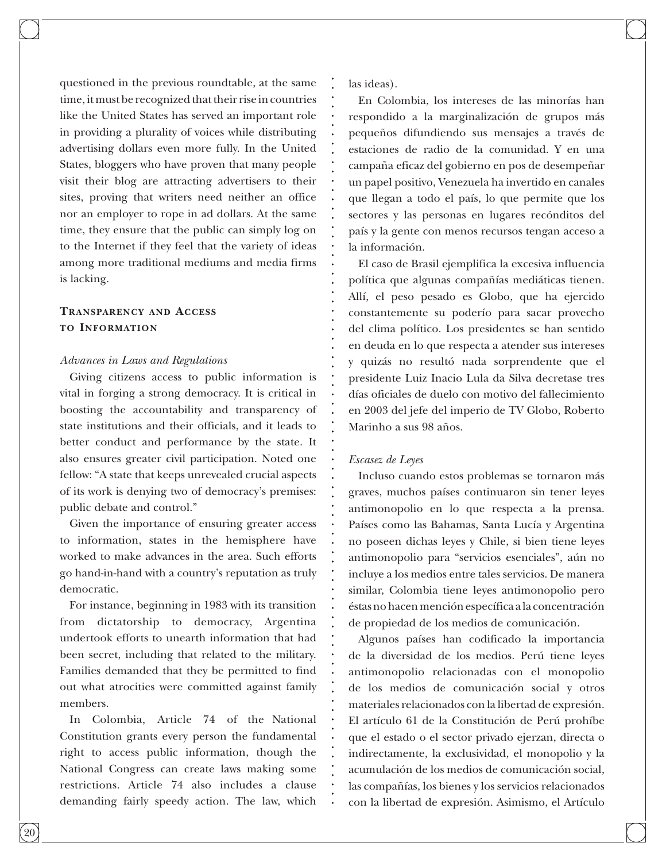questioned in the previous roundtable, at the same time, it must be recognized that their rise in countries like the United States has served an important role in providing a plurality of voices while distributing advertising dollars even more fully. In the United States, bloggers who have proven that many people visit their blog are attracting advertisers to their sites, proving that writers need neither an office nor an employer to rope in ad dollars. At the same time, they ensure that the public can simply log on to the Internet if they feel that the variety of ideas among more traditional mediums and media firms is lacking.

#### **Transparency and Access to Information**

#### *Advances in Laws and Regulations*

Giving citizens access to public information is vital in forging a strong democracy. It is critical in boosting the accountability and transparency of state institutions and their officials, and it leads to better conduct and performance by the state. It also ensures greater civil participation. Noted one fellow: "A state that keeps unrevealed crucial aspects of its work is denying two of democracy's premises: public debate and control."

Given the importance of ensuring greater access to information, states in the hemisphere have worked to make advances in the area. Such efforts go hand-in-hand with a country's reputation as truly democratic.

For instance, beginning in 1983 with its transition from dictatorship to democracy, Argentina undertook efforts to unearth information that had been secret, including that related to the military. Families demanded that they be permitted to find out what atrocities were committed against family members.

In Colombia, Article 74 of the National Constitution grants every person the fundamental right to access public information, though the National Congress can create laws making some restrictions. Article 74 also includes a clause demanding fairly speedy action. The law, which

las ideas).

En Colombia, los intereses de las minorías han respondido a la marginalización de grupos más pequeños difundiendo sus mensajes a través de estaciones de radio de la comunidad. Y en una campaña eficaz del gobierno en pos de desempeñar un papel positivo, Venezuela ha invertido en canales que llegan a todo el país, lo que permite que los sectores y las personas en lugares recónditos del país y la gente con menos recursos tengan acceso a la información.

El caso de Brasil ejemplifica la excesiva influencia política que algunas compañías mediáticas tienen. Allí, el peso pesado es Globo, que ha ejercido constantemente su poderío para sacar provecho del clima político. Los presidentes se han sentido en deuda en lo que respecta a atender sus intereses y quizás no resultó nada sorprendente que el presidente Luiz Inacio Lula da Silva decretase tres días oficiales de duelo con motivo del fallecimiento en 2003 del jefe del imperio de TV Globo, Roberto Marinho a sus 98 años.

#### *Escasez de Leyes*

Incluso cuando estos problemas se tornaron más graves, muchos países continuaron sin tener leyes antimonopolio en lo que respecta a la prensa. Países como las Bahamas, Santa Lucía y Argentina no poseen dichas leyes y Chile, si bien tiene leyes antimonopolio para "servicios esenciales", aún no incluye a los medios entre tales servicios. De manera similar, Colombia tiene leyes antimonopolio pero éstas no hacen mención específica a la concentración de propiedad de los medios de comunicación.

Algunos países han codificado la importancia de la diversidad de los medios. Perú tiene leyes antimonopolio relacionadas con el monopolio de los medios de comunicación social y otros materiales relacionados con la libertad de expresión. El artículo 61 de la Constitución de Perú prohíbe que el estado o el sector privado ejerzan, directa o indirectamente, la exclusividad, el monopolio y la acumulación de los medios de comunicación social, las compañías, los bienes y los servicios relacionados con la libertad de expresión. Asimismo, el Artículo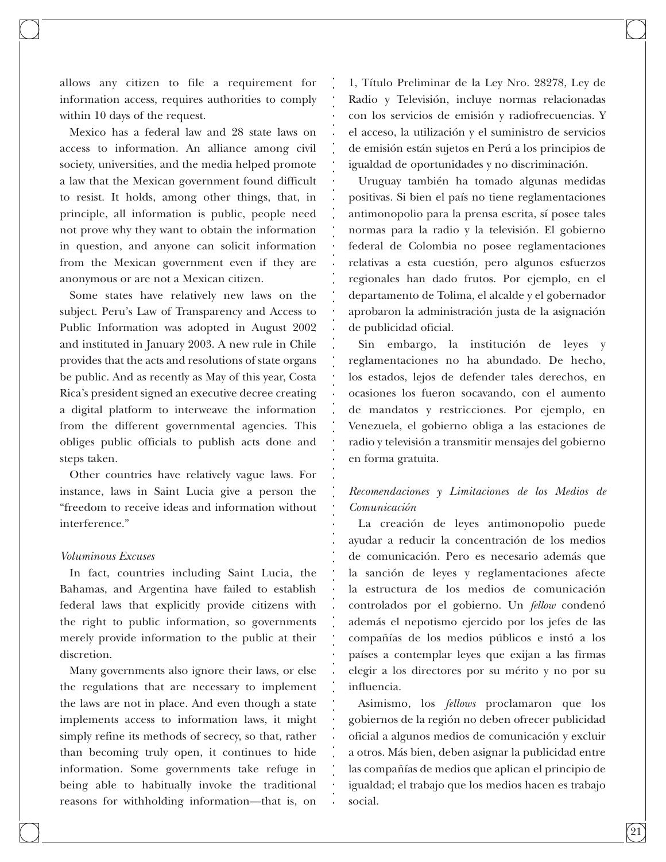allows any citizen to file a requirement for information access, requires authorities to comply within 10 days of the request.

Mexico has a federal law and 28 state laws on access to information. An alliance among civil society, universities, and the media helped promote a law that the Mexican government found difficult to resist. It holds, among other things, that, in principle, all information is public, people need not prove why they want to obtain the information in question, and anyone can solicit information from the Mexican government even if they are anonymous or are not a Mexican citizen.

Some states have relatively new laws on the subject. Peru's Law of Transparency and Access to Public Information was adopted in August 2002 and instituted in January 2003. A new rule in Chile provides that the acts and resolutions of state organs be public. And as recently as May of this year, Costa Rica's president signed an executive decree creating a digital platform to interweave the information from the different governmental agencies. This obliges public officials to publish acts done and steps taken.

Other countries have relatively vague laws. For instance, laws in Saint Lucia give a person the "freedom to receive ideas and information without interference."

#### *Voluminous Excuses*

In fact, countries including Saint Lucia, the Bahamas, and Argentina have failed to establish federal laws that explicitly provide citizens with the right to public information, so governments merely provide information to the public at their discretion.

Many governments also ignore their laws, or else the regulations that are necessary to implement the laws are not in place. And even though a state implements access to information laws, it might simply refine its methods of secrecy, so that, rather than becoming truly open, it continues to hide information. Some governments take refuge in being able to habitually invoke the traditional reasons for withholding information—that is, on

1, Título Preliminar de la Ley Nro. 28278, Ley de Radio y Televisión, incluye normas relacionadas con los servicios de emisión y radiofrecuencias. Y el acceso, la utilización y el suministro de servicios de emisión están sujetos en Perú a los principios de igualdad de oportunidades y no discriminación.

Uruguay también ha tomado algunas medidas positivas. Si bien el país no tiene reglamentaciones antimonopolio para la prensa escrita, sí posee tales normas para la radio y la televisión. El gobierno federal de Colombia no posee reglamentaciones relativas a esta cuestión, pero algunos esfuerzos regionales han dado frutos. Por ejemplo, en el departamento de Tolima, el alcalde y el gobernador aprobaron la administración justa de la asignación de publicidad oficial.

Sin embargo, la institución de leyes y reglamentaciones no ha abundado. De hecho, los estados, lejos de defender tales derechos, en ocasiones los fueron socavando, con el aumento de mandatos y restricciones. Por ejemplo, en Venezuela, el gobierno obliga a las estaciones de radio y televisión a transmitir mensajes del gobierno en forma gratuita.

### *Recomendaciones y Limitaciones de los Medios de Comunicación*

La creación de leyes antimonopolio puede ayudar a reducir la concentración de los medios de comunicación. Pero es necesario además que la sanción de leyes y reglamentaciones afecte la estructura de los medios de comunicación controlados por el gobierno. Un *fellow* condenó además el nepotismo ejercido por los jefes de las compañías de los medios públicos e instó a los países a contemplar leyes que exijan a las firmas elegir a los directores por su mérito y no por su influencia.

Asimismo, los *fellows* proclamaron que los gobiernos de la región no deben ofrecer publicidad oficial a algunos medios de comunicación y excluir a otros. Más bien, deben asignar la publicidad entre las compañías de medios que aplican el principio de igualdad; el trabajo que los medios hacen es trabajo social.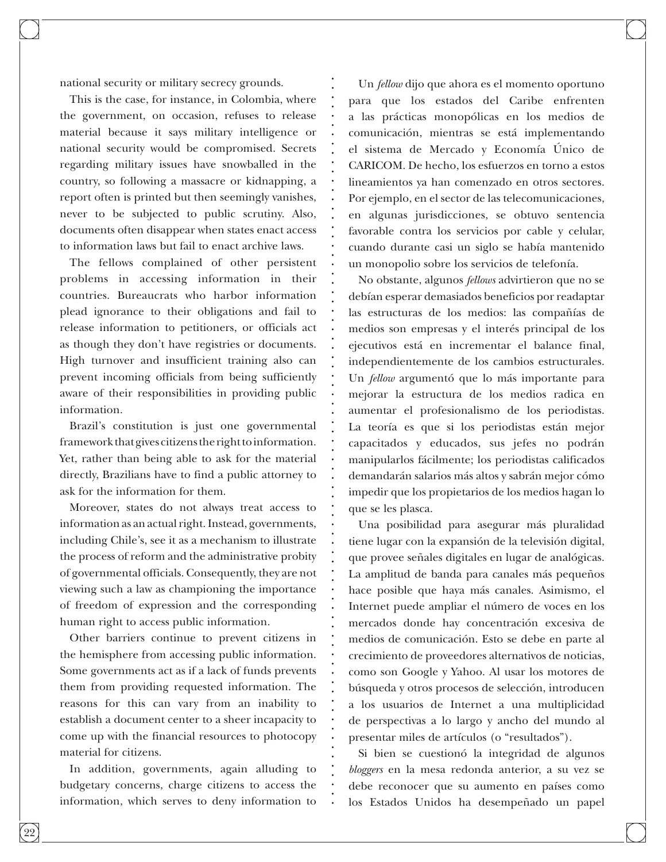national security or military secrecy grounds.

This is the case, for instance, in Colombia, where the government, on occasion, refuses to release material because it says military intelligence or national security would be compromised. Secrets regarding military issues have snowballed in the country, so following a massacre or kidnapping, a report often is printed but then seemingly vanishes, never to be subjected to public scrutiny. Also, documents often disappear when states enact access to information laws but fail to enact archive laws.

The fellows complained of other persistent problems in accessing information in their countries. Bureaucrats who harbor information plead ignorance to their obligations and fail to release information to petitioners, or officials act as though they don't have registries or documents. High turnover and insufficient training also can prevent incoming officials from being sufficiently aware of their responsibilities in providing public information.

Brazil's constitution is just one governmental framework that gives citizens the right to information. Yet, rather than being able to ask for the material directly, Brazilians have to find a public attorney to ask for the information for them.

Moreover, states do not always treat access to information as an actual right. Instead, governments, including Chile's, see it as a mechanism to illustrate the process of reform and the administrative probity of governmental officials. Consequently, they are not viewing such a law as championing the importance of freedom of expression and the corresponding human right to access public information.

Other barriers continue to prevent citizens in the hemisphere from accessing public information. Some governments act as if a lack of funds prevents them from providing requested information. The reasons for this can vary from an inability to establish a document center to a sheer incapacity to come up with the financial resources to photocopy material for citizens.

In addition, governments, again alluding to budgetary concerns, charge citizens to access the information, which serves to deny information to

Un *fellow* dijo que ahora es el momento oportuno para que los estados del Caribe enfrenten a las prácticas monopólicas en los medios de comunicación, mientras se está implementando el sistema de Mercado y Economía Único de CARICOM. De hecho, los esfuerzos en torno a estos lineamientos ya han comenzado en otros sectores. Por ejemplo, en el sector de las telecomunicaciones, en algunas jurisdicciones, se obtuvo sentencia favorable contra los servicios por cable y celular, cuando durante casi un siglo se había mantenido un monopolio sobre los servicios de telefonía.

No obstante, algunos *fellows* advirtieron que no se debían esperar demasiados beneficios por readaptar las estructuras de los medios: las compañías de medios son empresas y el interés principal de los ejecutivos está en incrementar el balance final, independientemente de los cambios estructurales. Un *fellow* argumentó que lo más importante para mejorar la estructura de los medios radica en aumentar el profesionalismo de los periodistas. La teoría es que si los periodistas están mejor capacitados y educados, sus jefes no podrán manipularlos fácilmente; los periodistas calificados demandarán salarios más altos y sabrán mejor cómo impedir que los propietarios de los medios hagan lo que se les plasca.

Una posibilidad para asegurar más pluralidad tiene lugar con la expansión de la televisión digital, que provee señales digitales en lugar de analógicas. La amplitud de banda para canales más pequeños hace posible que haya más canales. Asimismo, el Internet puede ampliar el número de voces en los mercados donde hay concentración excesiva de medios de comunicación. Esto se debe en parte al crecimiento de proveedores alternativos de noticias, como son Google y Yahoo. Al usar los motores de búsqueda y otros procesos de selección, introducen a los usuarios de Internet a una multiplicidad de perspectivas a lo largo y ancho del mundo al presentar miles de artículos (o "resultados").

Si bien se cuestionó la integridad de algunos *bloggers* en la mesa redonda anterior, a su vez se debe reconocer que su aumento en países como los Estados Unidos ha desempeñado un papel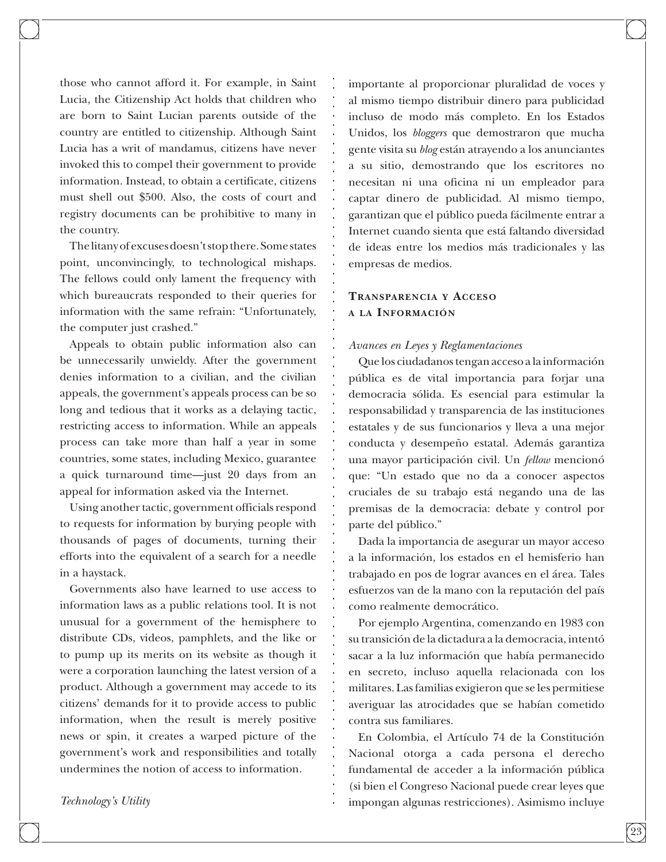those who cannot afford it. For example, in Saint Lucia, the Citizenship Act holds that children who are born to Saint Lucian parents outside of the country are entitled to citizenship. Although Saint Lucia has a writ of mandamus, citizens have never invoked this to compel their government to provide information. Instead, to obtain a certificate, citizens must shell out \$500. Also, the costs of court and registry documents can be prohibitive to many in the country.

The litany of excuses doesn't stop there. Some states point, unconvincingly, to technological mishaps. The fellows could only lament the frequency with which bureaucrats responded to their queries for information with the same refrain: "Unfortunately, the computer just crashed."

Appeals to obtain public information also can be unnecessarily unwieldy. After the government denies information to a civilian, and the civilian appeals, the government's appeals process can be so long and tedious that it works as a delaying tactic, restricting access to information. While an appeals process can take more than half a year in some countries, some states, including Mexico, guarantee a quick turnaround time—just 20 days from an appeal for information asked via the Internet.

Using another tactic, government officials respond to requests for information by burying people with thousands of pages of documents, turning their efforts into the equivalent of a search for a needle in a haystack.

Governments also have learned to use access to information laws as a public relations tool. It is not unusual for a government of the hemisphere to distribute CDs, videos, pamphlets, and the like or to pump up its merits on its website as though it were a corporation launching the latest version of a product. Although a government may accede to its citizens' demands for it to provide access to public information, when the result is merely positive news or spin, it creates a warped picture of the government's work and responsibilities and totally undermines the notion of access to information.

*Technology's Utility*

importante al proporcionar pluralidad de voces y al mismo tiempo distribuir dinero para publicidad incluso de modo más completo. En los Estados Unidos, los *bloggers* que demostraron que mucha gente visita su *blog* están atrayendo a los anunciantes a su sitio, demostrando que los escritores no necesitan ni una oficina ni un empleador para captar dinero de publicidad. Al mismo tiempo, garantizan que el público pueda fácilmente entrar a Internet cuando sienta que está faltando diversidad de ideas entre los medios más tradicionales y las empresas de medios.

#### **Transparencia y Acceso a la Información**

#### *Avances en Leyes y Reglamentaciones*

Que los ciudadanos tengan acceso a la información pública es de vital importancia para forjar una democracia sólida. Es esencial para estimular la responsabilidad y transparencia de las instituciones estatales y de sus funcionarios y lleva a una mejor conducta y desempeño estatal. Además garantiza una mayor participación civil. Un *fellow* mencionó que: "Un estado que no da a conocer aspectos cruciales de su trabajo está negando una de las premisas de la democracia: debate y control por parte del público."

Dada la importancia de asegurar un mayor acceso a la información, los estados en el hemisferio han trabajado en pos de lograr avances en el área. Tales esfuerzos van de la mano con la reputación del país como realmente democrático.

Por ejemplo Argentina, comenzando en 1983 con su transición de la dictadura a la democracia, intentó sacar a la luz información que había permanecido en secreto, incluso aquella relacionada con los militares. Las familias exigieron que se les permitiese averiguar las atrocidades que se habían cometido contra sus familiares.

En Colombia, el Artículo 74 de la Constitución Nacional otorga a cada persona el derecho fundamental de acceder a la información pública (si bien el Congreso Nacional puede crear leyes que impongan algunas restricciones). Asimismo incluye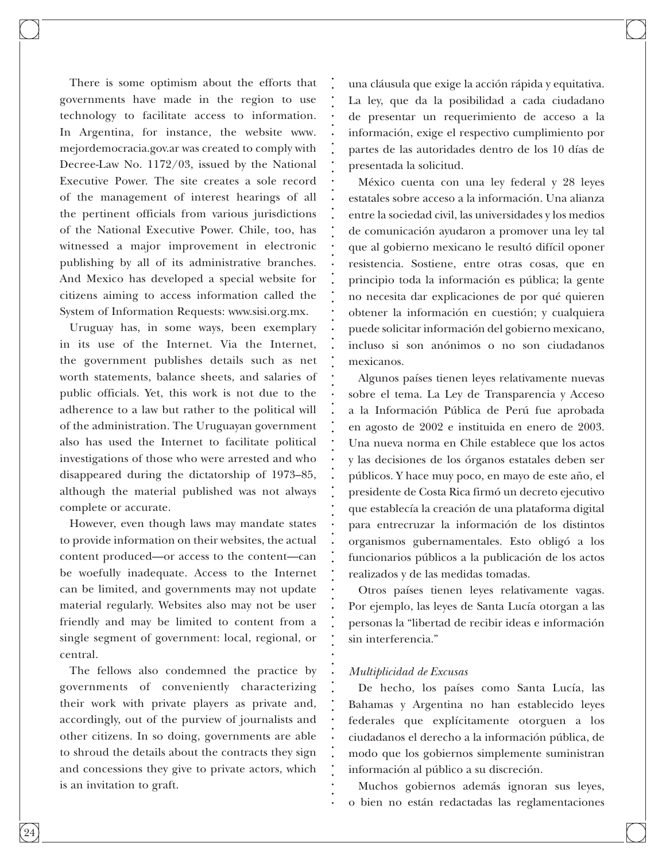There is some optimism about the efforts that governments have made in the region to use technology to facilitate access to information. In Argentina, for instance, the website www. mejordemocracia.gov.ar was created to comply with Decree-Law No. 1172/03, issued by the National Executive Power. The site creates a sole record of the management of interest hearings of all the pertinent officials from various jurisdictions of the National Executive Power. Chile, too, has witnessed a major improvement in electronic publishing by all of its administrative branches. And Mexico has developed a special website for citizens aiming to access information called the System of Information Requests: www.sisi.org.mx.

Uruguay has, in some ways, been exemplary in its use of the Internet. Via the Internet, the government publishes details such as net worth statements, balance sheets, and salaries of public officials. Yet, this work is not due to the adherence to a law but rather to the political will of the administration. The Uruguayan government also has used the Internet to facilitate political investigations of those who were arrested and who disappeared during the dictatorship of 1973–85, although the material published was not always complete or accurate.

However, even though laws may mandate states to provide information on their websites, the actual content produced—or access to the content—can be woefully inadequate. Access to the Internet can be limited, and governments may not update material regularly. Websites also may not be user friendly and may be limited to content from a single segment of government: local, regional, or central.

The fellows also condemned the practice by governments of conveniently characterizing their work with private players as private and, accordingly, out of the purview of journalists and other citizens. In so doing, governments are able to shroud the details about the contracts they sign and concessions they give to private actors, which is an invitation to graft.

una cláusula que exige la acción rápida y equitativa. La ley, que da la posibilidad a cada ciudadano de presentar un requerimiento de acceso a la información, exige el respectivo cumplimiento por partes de las autoridades dentro de los 10 días de presentada la solicitud.

México cuenta con una ley federal y 28 leyes estatales sobre acceso a la información. Una alianza entre la sociedad civil, las universidades y los medios de comunicación ayudaron a promover una ley tal que al gobierno mexicano le resultó difícil oponer resistencia. Sostiene, entre otras cosas, que en principio toda la información es pública; la gente no necesita dar explicaciones de por qué quieren obtener la información en cuestión; y cualquiera puede solicitar información del gobierno mexicano, incluso si son anónimos o no son ciudadanos mexicanos.

Algunos países tienen leyes relativamente nuevas sobre el tema. La Ley de Transparencia y Acceso a la Información Pública de Perú fue aprobada en agosto de 2002 e instituida en enero de 2003. Una nueva norma en Chile establece que los actos y las decisiones de los órganos estatales deben ser públicos. Y hace muy poco, en mayo de este año, el presidente de Costa Rica firmó un decreto ejecutivo que establecía la creación de una plataforma digital para entrecruzar la información de los distintos organismos gubernamentales. Esto obligó a los funcionarios públicos a la publicación de los actos realizados y de las medidas tomadas.

Otros países tienen leyes relativamente vagas. Por ejemplo, las leyes de Santa Lucía otorgan a las personas la "libertad de recibir ideas e información sin interferencia."

#### *Multiplicidad de Excusas*

De hecho, los países como Santa Lucía, las Bahamas y Argentina no han establecido leyes federales que explícitamente otorguen a los ciudadanos el derecho a la información pública, de modo que los gobiernos simplemente suministran información al público a su discreción.

Muchos gobiernos además ignoran sus leyes, o bien no están redactadas las reglamentaciones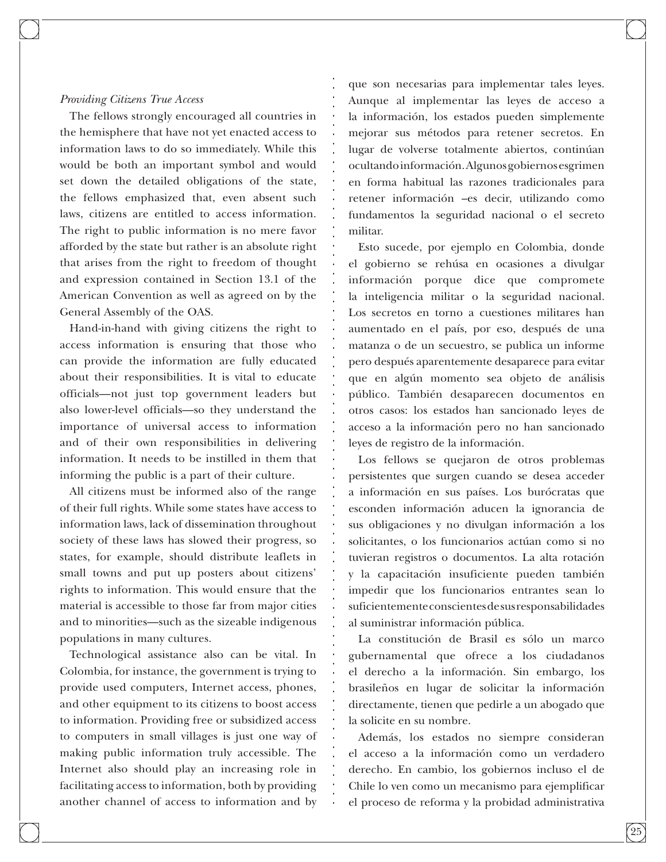#### *Providing Citizens True Access*

The fellows strongly encouraged all countries in the hemisphere that have not yet enacted access to information laws to do so immediately. While this would be both an important symbol and would set down the detailed obligations of the state, the fellows emphasized that, even absent such laws, citizens are entitled to access information. The right to public information is no mere favor afforded by the state but rather is an absolute right that arises from the right to freedom of thought and expression contained in Section 13.1 of the American Convention as well as agreed on by the General Assembly of the OAS.

Hand-in-hand with giving citizens the right to access information is ensuring that those who can provide the information are fully educated about their responsibilities. It is vital to educate officials—not just top government leaders but also lower-level officials—so they understand the importance of universal access to information and of their own responsibilities in delivering information. It needs to be instilled in them that informing the public is a part of their culture.

All citizens must be informed also of the range of their full rights. While some states have access to information laws, lack of dissemination throughout society of these laws has slowed their progress, so states, for example, should distribute leaflets in small towns and put up posters about citizens' rights to information. This would ensure that the material is accessible to those far from major cities and to minorities—such as the sizeable indigenous populations in many cultures.

Technological assistance also can be vital. In Colombia, for instance, the government is trying to provide used computers, Internet access, phones, and other equipment to its citizens to boost access to information. Providing free or subsidized access to computers in small villages is just one way of making public information truly accessible. The Internet also should play an increasing role in facilitating access to information, both by providing another channel of access to information and by

que son necesarias para implementar tales leyes. Aunque al implementar las leyes de acceso a la información, los estados pueden simplemente mejorar sus métodos para retener secretos. En lugar de volverse totalmente abiertos, continúan ocultando información. Algunos gobiernos esgrimen en forma habitual las razones tradicionales para retener información –es decir, utilizando como fundamentos la seguridad nacional o el secreto militar.

Esto sucede, por ejemplo en Colombia, donde el gobierno se rehúsa en ocasiones a divulgar información porque dice que compromete la inteligencia militar o la seguridad nacional. Los secretos en torno a cuestiones militares han aumentado en el país, por eso, después de una matanza o de un secuestro, se publica un informe pero después aparentemente desaparece para evitar que en algún momento sea objeto de análisis público. También desaparecen documentos en otros casos: los estados han sancionado leyes de acceso a la información pero no han sancionado leyes de registro de la información.

Los fellows se quejaron de otros problemas persistentes que surgen cuando se desea acceder a información en sus países. Los burócratas que esconden información aducen la ignorancia de sus obligaciones y no divulgan información a los solicitantes, o los funcionarios actúan como si no tuvieran registros o documentos. La alta rotación y la capacitación insuficiente pueden también impedir que los funcionarios entrantes sean lo suficientemente conscientes de sus responsabilidades al suministrar información pública.

La constitución de Brasil es sólo un marco gubernamental que ofrece a los ciudadanos el derecho a la información. Sin embargo, los brasileños en lugar de solicitar la información directamente, tienen que pedirle a un abogado que la solicite en su nombre.

Además, los estados no siempre consideran el acceso a la información como un verdadero derecho. En cambio, los gobiernos incluso el de Chile lo ven como un mecanismo para ejemplificar el proceso de reforma y la probidad administrativa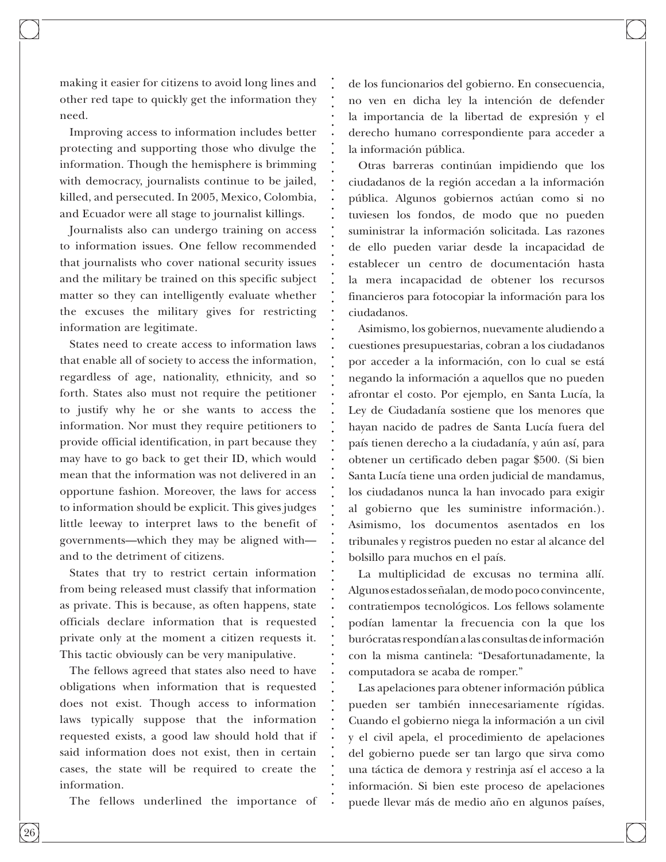making it easier for citizens to avoid long lines and other red tape to quickly get the information they need.

Improving access to information includes better protecting and supporting those who divulge the information. Though the hemisphere is brimming with democracy, journalists continue to be jailed, killed, and persecuted. In 2005, Mexico, Colombia, and Ecuador were all stage to journalist killings.

Journalists also can undergo training on access to information issues. One fellow recommended that journalists who cover national security issues and the military be trained on this specific subject matter so they can intelligently evaluate whether the excuses the military gives for restricting information are legitimate.

States need to create access to information laws that enable all of society to access the information, regardless of age, nationality, ethnicity, and so forth. States also must not require the petitioner to justify why he or she wants to access the information. Nor must they require petitioners to provide official identification, in part because they may have to go back to get their ID, which would mean that the information was not delivered in an opportune fashion. Moreover, the laws for access to information should be explicit. This gives judges little leeway to interpret laws to the benefit of governments—which they may be aligned with and to the detriment of citizens.

States that try to restrict certain information from being released must classify that information as private. This is because, as often happens, state officials declare information that is requested private only at the moment a citizen requests it. This tactic obviously can be very manipulative.

The fellows agreed that states also need to have obligations when information that is requested does not exist. Though access to information laws typically suppose that the information requested exists, a good law should hold that if said information does not exist, then in certain cases, the state will be required to create the information.

The fellows underlined the importance of

de los funcionarios del gobierno. En consecuencia, no ven en dicha ley la intención de defender la importancia de la libertad de expresión y el derecho humano correspondiente para acceder a la información pública.

Otras barreras continúan impidiendo que los ciudadanos de la región accedan a la información pública. Algunos gobiernos actúan como si no tuviesen los fondos, de modo que no pueden suministrar la información solicitada. Las razones de ello pueden variar desde la incapacidad de establecer un centro de documentación hasta la mera incapacidad de obtener los recursos financieros para fotocopiar la información para los ciudadanos.

Asimismo, los gobiernos, nuevamente aludiendo a cuestiones presupuestarias, cobran a los ciudadanos por acceder a la información, con lo cual se está negando la información a aquellos que no pueden afrontar el costo. Por ejemplo, en Santa Lucía, la Ley de Ciudadanía sostiene que los menores que hayan nacido de padres de Santa Lucía fuera del país tienen derecho a la ciudadanía, y aún así, para obtener un certificado deben pagar \$500. (Si bien Santa Lucía tiene una orden judicial de mandamus, los ciudadanos nunca la han invocado para exigir al gobierno que les suministre información.). Asimismo, los documentos asentados en los tribunales y registros pueden no estar al alcance del bolsillo para muchos en el país.

La multiplicidad de excusas no termina allí. Algunos estados señalan, de modo poco convincente, contratiempos tecnológicos. Los fellows solamente podían lamentar la frecuencia con la que los burócratas respondían a las consultas de información con la misma cantinela: "Desafortunadamente, la computadora se acaba de romper."

Las apelaciones para obtener información pública pueden ser también innecesariamente rígidas. Cuando el gobierno niega la información a un civil y el civil apela, el procedimiento de apelaciones del gobierno puede ser tan largo que sirva como una táctica de demora y restrinja así el acceso a la información. Si bien este proceso de apelaciones puede llevar más de medio año en algunos países,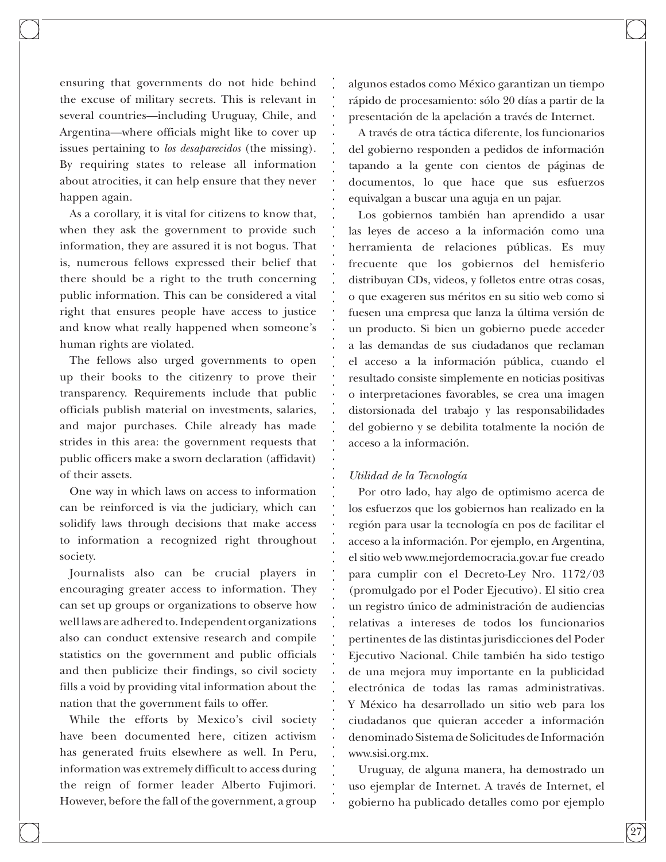ensuring that governments do not hide behind the excuse of military secrets. This is relevant in several countries—including Uruguay, Chile, and Argentina—where officials might like to cover up issues pertaining to *los desaparecidos* (the missing). By requiring states to release all information about atrocities, it can help ensure that they never happen again.

As a corollary, it is vital for citizens to know that, when they ask the government to provide such information, they are assured it is not bogus. That is, numerous fellows expressed their belief that there should be a right to the truth concerning public information. This can be considered a vital right that ensures people have access to justice and know what really happened when someone's human rights are violated.

The fellows also urged governments to open up their books to the citizenry to prove their transparency. Requirements include that public officials publish material on investments, salaries, and major purchases. Chile already has made strides in this area: the government requests that public officers make a sworn declaration (affidavit) of their assets.

One way in which laws on access to information can be reinforced is via the judiciary, which can solidify laws through decisions that make access to information a recognized right throughout society.

Journalists also can be crucial players in encouraging greater access to information. They can set up groups or organizations to observe how well laws are adhered to. Independent organizations also can conduct extensive research and compile statistics on the government and public officials and then publicize their findings, so civil society fills a void by providing vital information about the nation that the government fails to offer.

While the efforts by Mexico's civil society have been documented here, citizen activism has generated fruits elsewhere as well. In Peru, information was extremely difficult to access during the reign of former leader Alberto Fujimori. However, before the fall of the government, a group

algunos estados como México garantizan un tiempo rápido de procesamiento: sólo 20 días a partir de la presentación de la apelación a través de Internet.

A través de otra táctica diferente, los funcionarios del gobierno responden a pedidos de información tapando a la gente con cientos de páginas de documentos, lo que hace que sus esfuerzos equivalgan a buscar una aguja en un pajar.

Los gobiernos también han aprendido a usar las leyes de acceso a la información como una herramienta de relaciones públicas. Es muy frecuente que los gobiernos del hemisferio distribuyan CDs, videos, y folletos entre otras cosas, o que exageren sus méritos en su sitio web como si fuesen una empresa que lanza la última versión de un producto. Si bien un gobierno puede acceder a las demandas de sus ciudadanos que reclaman el acceso a la información pública, cuando el resultado consiste simplemente en noticias positivas o interpretaciones favorables, se crea una imagen distorsionada del trabajo y las responsabilidades del gobierno y se debilita totalmente la noción de acceso a la información.

#### *Utilidad de la Tecnología*

Por otro lado, hay algo de optimismo acerca de los esfuerzos que los gobiernos han realizado en la región para usar la tecnología en pos de facilitar el acceso a la información. Por ejemplo, en Argentina, el sitio web www.mejordemocracia.gov.ar fue creado para cumplir con el Decreto-Ley Nro. 1172/03 (promulgado por el Poder Ejecutivo). El sitio crea un registro único de administración de audiencias relativas a intereses de todos los funcionarios pertinentes de las distintas jurisdicciones del Poder Ejecutivo Nacional. Chile también ha sido testigo de una mejora muy importante en la publicidad electrónica de todas las ramas administrativas. Y México ha desarrollado un sitio web para los ciudadanos que quieran acceder a información denominado Sistema de Solicitudes de Información www.sisi.org.mx.

Uruguay, de alguna manera, ha demostrado un uso ejemplar de Internet. A través de Internet, el gobierno ha publicado detalles como por ejemplo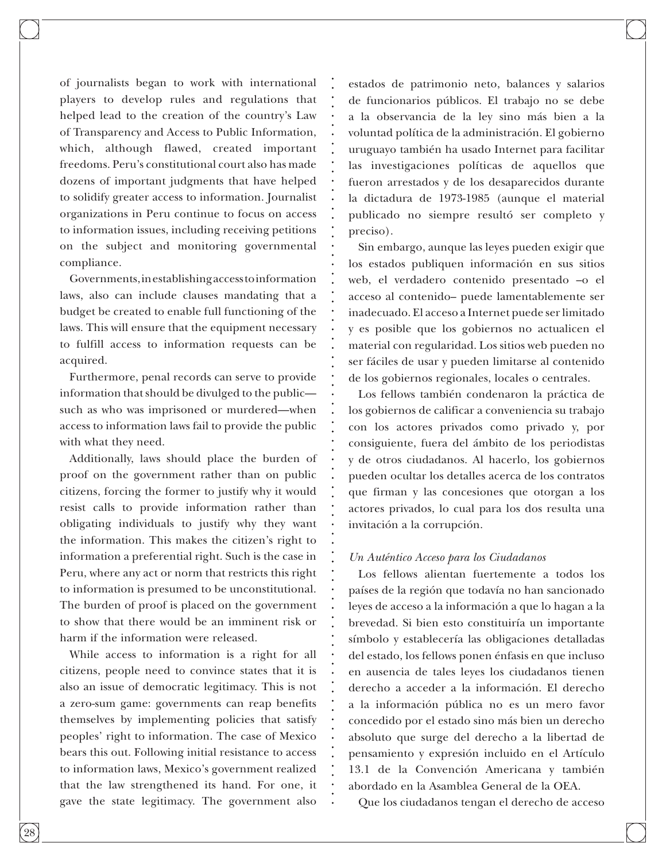of journalists began to work with international players to develop rules and regulations that helped lead to the creation of the country's Law of Transparency and Access to Public Information, which, although flawed, created important freedoms. Peru's constitutional court also has made dozens of important judgments that have helped to solidify greater access to information. Journalist organizations in Peru continue to focus on access to information issues, including receiving petitions on the subject and monitoring governmental compliance.

Governments, in establishing access to information laws, also can include clauses mandating that a budget be created to enable full functioning of the laws. This will ensure that the equipment necessary to fulfill access to information requests can be acquired.

Furthermore, penal records can serve to provide information that should be divulged to the public such as who was imprisoned or murdered—when access to information laws fail to provide the public with what they need.

Additionally, laws should place the burden of proof on the government rather than on public citizens, forcing the former to justify why it would resist calls to provide information rather than obligating individuals to justify why they want the information. This makes the citizen's right to information a preferential right. Such is the case in Peru, where any act or norm that restricts this right to information is presumed to be unconstitutional. The burden of proof is placed on the government to show that there would be an imminent risk or harm if the information were released.

While access to information is a right for all citizens, people need to convince states that it is also an issue of democratic legitimacy. This is not a zero-sum game: governments can reap benefits themselves by implementing policies that satisfy peoples' right to information. The case of Mexico bears this out. Following initial resistance to access to information laws, Mexico's government realized that the law strengthened its hand. For one, it gave the state legitimacy. The government also

estados de patrimonio neto, balances y salarios de funcionarios públicos. El trabajo no se debe a la observancia de la ley sino más bien a la voluntad política de la administración. El gobierno uruguayo también ha usado Internet para facilitar las investigaciones políticas de aquellos que fueron arrestados y de los desaparecidos durante la dictadura de 1973-1985 (aunque el material publicado no siempre resultó ser completo y preciso).

Sin embargo, aunque las leyes pueden exigir que los estados publiquen información en sus sitios web, el verdadero contenido presentado –o el acceso al contenido– puede lamentablemente ser inadecuado. El acceso a Internet puede ser limitado y es posible que los gobiernos no actualicen el material con regularidad. Los sitios web pueden no ser fáciles de usar y pueden limitarse al contenido de los gobiernos regionales, locales o centrales.

Los fellows también condenaron la práctica de los gobiernos de calificar a conveniencia su trabajo con los actores privados como privado y, por consiguiente, fuera del ámbito de los periodistas y de otros ciudadanos. Al hacerlo, los gobiernos pueden ocultar los detalles acerca de los contratos que firman y las concesiones que otorgan a los actores privados, lo cual para los dos resulta una invitación a la corrupción.

#### *Un Auténtico Acceso para los Ciudadanos*

Los fellows alientan fuertemente a todos los países de la región que todavía no han sancionado leyes de acceso a la información a que lo hagan a la brevedad. Si bien esto constituiría un importante símbolo y establecería las obligaciones detalladas del estado, los fellows ponen énfasis en que incluso en ausencia de tales leyes los ciudadanos tienen derecho a acceder a la información. El derecho a la información pública no es un mero favor concedido por el estado sino más bien un derecho absoluto que surge del derecho a la libertad de pensamiento y expresión incluido en el Artículo 13.1 de la Convención Americana y también abordado en la Asamblea General de la OEA.

Que los ciudadanos tengan el derecho de acceso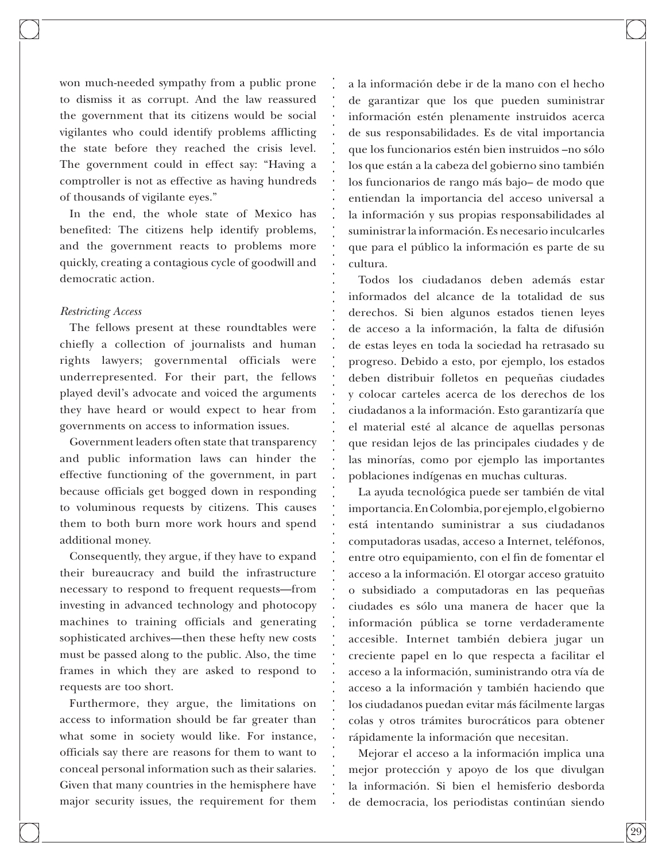won much-needed sympathy from a public prone to dismiss it as corrupt. And the law reassured the government that its citizens would be social vigilantes who could identify problems afflicting the state before they reached the crisis level. The government could in effect say: "Having a comptroller is not as effective as having hundreds of thousands of vigilante eyes."

In the end, the whole state of Mexico has benefited: The citizens help identify problems, and the government reacts to problems more quickly, creating a contagious cycle of goodwill and democratic action.

#### *Restricting Access*

The fellows present at these roundtables were chiefly a collection of journalists and human rights lawyers; governmental officials were underrepresented. For their part, the fellows played devil's advocate and voiced the arguments they have heard or would expect to hear from governments on access to information issues.

Government leaders often state that transparency and public information laws can hinder the effective functioning of the government, in part because officials get bogged down in responding to voluminous requests by citizens. This causes them to both burn more work hours and spend additional money.

Consequently, they argue, if they have to expand their bureaucracy and build the infrastructure necessary to respond to frequent requests—from investing in advanced technology and photocopy machines to training officials and generating sophisticated archives—then these hefty new costs must be passed along to the public. Also, the time frames in which they are asked to respond to requests are too short.

Furthermore, they argue, the limitations on access to information should be far greater than what some in society would like. For instance, officials say there are reasons for them to want to conceal personal information such as their salaries. Given that many countries in the hemisphere have major security issues, the requirement for them a la información debe ir de la mano con el hecho de garantizar que los que pueden suministrar información estén plenamente instruidos acerca de sus responsabilidades. Es de vital importancia que los funcionarios estén bien instruidos –no sólo los que están a la cabeza del gobierno sino también los funcionarios de rango más bajo– de modo que entiendan la importancia del acceso universal a la información y sus propias responsabilidades al suministrar la información. Es necesario inculcarles que para el público la información es parte de su cultura.

Todos los ciudadanos deben además estar informados del alcance de la totalidad de sus derechos. Si bien algunos estados tienen leyes de acceso a la información, la falta de difusión de estas leyes en toda la sociedad ha retrasado su progreso. Debido a esto, por ejemplo, los estados deben distribuir folletos en pequeñas ciudades y colocar carteles acerca de los derechos de los ciudadanos a la información. Esto garantizaría que el material esté al alcance de aquellas personas que residan lejos de las principales ciudades y de las minorías, como por ejemplo las importantes poblaciones indígenas en muchas culturas.

La ayuda tecnológica puede ser también de vital importancia. En Colombia, por ejemplo, el gobierno está intentando suministrar a sus ciudadanos computadoras usadas, acceso a Internet, teléfonos, entre otro equipamiento, con el fin de fomentar el acceso a la información. El otorgar acceso gratuito o subsidiado a computadoras en las pequeñas ciudades es sólo una manera de hacer que la información pública se torne verdaderamente accesible. Internet también debiera jugar un creciente papel en lo que respecta a facilitar el acceso a la información, suministrando otra vía de acceso a la información y también haciendo que los ciudadanos puedan evitar más fácilmente largas colas y otros trámites burocráticos para obtener rápidamente la información que necesitan.

Mejorar el acceso a la información implica una mejor protección y apoyo de los que divulgan la información. Si bien el hemisferio desborda de democracia, los periodistas continúan siendo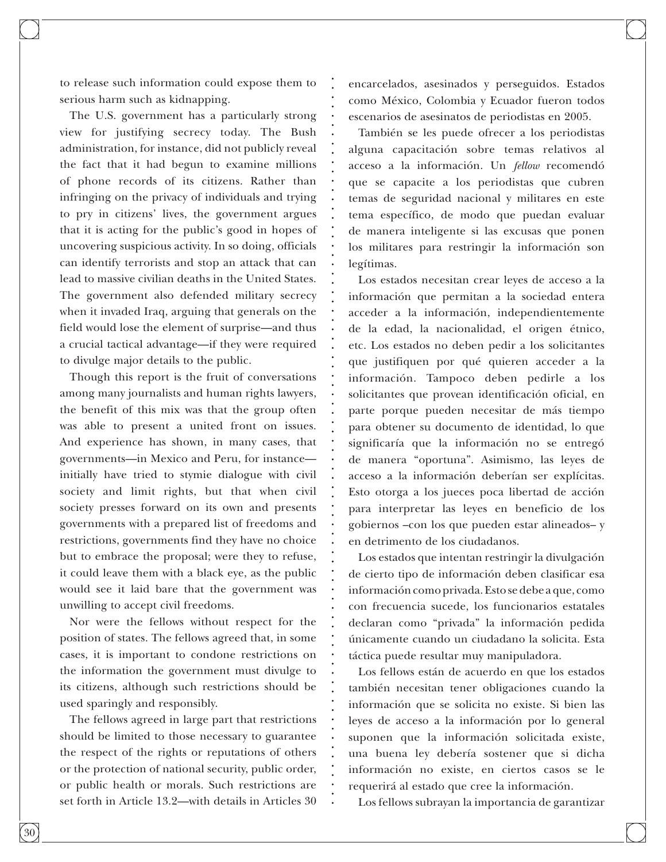to release such information could expose them to serious harm such as kidnapping.

The U.S. government has a particularly strong view for justifying secrecy today. The Bush administration, for instance, did not publicly reveal the fact that it had begun to examine millions of phone records of its citizens. Rather than infringing on the privacy of individuals and trying to pry in citizens' lives, the government argues that it is acting for the public's good in hopes of uncovering suspicious activity. In so doing, officials can identify terrorists and stop an attack that can lead to massive civilian deaths in the United States. The government also defended military secrecy when it invaded Iraq, arguing that generals on the field would lose the element of surprise—and thus a crucial tactical advantage—if they were required to divulge major details to the public.

Though this report is the fruit of conversations among many journalists and human rights lawyers, the benefit of this mix was that the group often was able to present a united front on issues. And experience has shown, in many cases, that governments—in Mexico and Peru, for instance initially have tried to stymie dialogue with civil society and limit rights, but that when civil society presses forward on its own and presents governments with a prepared list of freedoms and restrictions, governments find they have no choice but to embrace the proposal; were they to refuse, it could leave them with a black eye, as the public would see it laid bare that the government was unwilling to accept civil freedoms.

Nor were the fellows without respect for the position of states. The fellows agreed that, in some cases, it is important to condone restrictions on the information the government must divulge to its citizens, although such restrictions should be used sparingly and responsibly.

The fellows agreed in large part that restrictions should be limited to those necessary to guarantee the respect of the rights or reputations of others or the protection of national security, public order, or public health or morals. Such restrictions are set forth in Article 13.2—with details in Articles 30 encarcelados, asesinados y perseguidos. Estados como México, Colombia y Ecuador fueron todos escenarios de asesinatos de periodistas en 2005.

También se les puede ofrecer a los periodistas alguna capacitación sobre temas relativos al acceso a la información. Un *fellow* recomendó que se capacite a los periodistas que cubren temas de seguridad nacional y militares en este tema específico, de modo que puedan evaluar de manera inteligente si las excusas que ponen los militares para restringir la información son legítimas.

Los estados necesitan crear leyes de acceso a la información que permitan a la sociedad entera acceder a la información, independientemente de la edad, la nacionalidad, el origen étnico, etc. Los estados no deben pedir a los solicitantes que justifiquen por qué quieren acceder a la información. Tampoco deben pedirle a los solicitantes que provean identificación oficial, en parte porque pueden necesitar de más tiempo para obtener su documento de identidad, lo que significaría que la información no se entregó de manera "oportuna". Asimismo, las leyes de acceso a la información deberían ser explícitas. Esto otorga a los jueces poca libertad de acción para interpretar las leyes en beneficio de los gobiernos –con los que pueden estar alineados– y en detrimento de los ciudadanos.

Los estados que intentan restringir la divulgación de cierto tipo de información deben clasificar esa información como privada. Esto se debe a que, como con frecuencia sucede, los funcionarios estatales declaran como "privada" la información pedida únicamente cuando un ciudadano la solicita. Esta táctica puede resultar muy manipuladora.

Los fellows están de acuerdo en que los estados también necesitan tener obligaciones cuando la información que se solicita no existe. Si bien las leyes de acceso a la información por lo general suponen que la información solicitada existe, una buena ley debería sostener que si dicha información no existe, en ciertos casos se le requerirá al estado que cree la información.

Los fellows subrayan la importancia de garantizar

30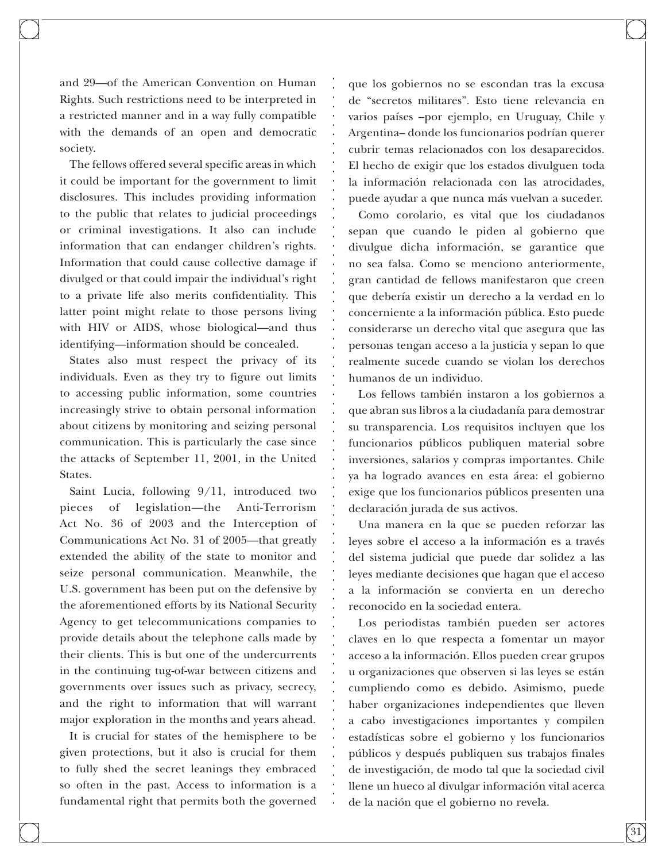and 29—of the American Convention on Human Rights. Such restrictions need to be interpreted in a restricted manner and in a way fully compatible with the demands of an open and democratic society.

The fellows offered several specific areas in which it could be important for the government to limit disclosures. This includes providing information to the public that relates to judicial proceedings or criminal investigations. It also can include information that can endanger children's rights. Information that could cause collective damage if divulged or that could impair the individual's right to a private life also merits confidentiality. This latter point might relate to those persons living with HIV or AIDS, whose biological—and thus identifying—information should be concealed.

States also must respect the privacy of its individuals. Even as they try to figure out limits to accessing public information, some countries increasingly strive to obtain personal information about citizens by monitoring and seizing personal communication. This is particularly the case since the attacks of September 11, 2001, in the United States.

Saint Lucia, following 9/11, introduced two pieces of legislation—the Anti-Terrorism Act No. 36 of 2003 and the Interception of Communications Act No. 31 of 2005—that greatly extended the ability of the state to monitor and seize personal communication. Meanwhile, the U.S. government has been put on the defensive by the aforementioned efforts by its National Security Agency to get telecommunications companies to provide details about the telephone calls made by their clients. This is but one of the undercurrents in the continuing tug-of-war between citizens and governments over issues such as privacy, secrecy, and the right to information that will warrant major exploration in the months and years ahead.

It is crucial for states of the hemisphere to be given protections, but it also is crucial for them to fully shed the secret leanings they embraced so often in the past. Access to information is a fundamental right that permits both the governed que los gobiernos no se escondan tras la excusa de "secretos militares". Esto tiene relevancia en varios países –por ejemplo, en Uruguay, Chile y Argentina– donde los funcionarios podrían querer cubrir temas relacionados con los desaparecidos. El hecho de exigir que los estados divulguen toda la información relacionada con las atrocidades, puede ayudar a que nunca más vuelvan a suceder.

Como corolario, es vital que los ciudadanos sepan que cuando le piden al gobierno que divulgue dicha información, se garantice que no sea falsa. Como se menciono anteriormente, gran cantidad de fellows manifestaron que creen que debería existir un derecho a la verdad en lo concerniente a la información pública. Esto puede considerarse un derecho vital que asegura que las personas tengan acceso a la justicia y sepan lo que realmente sucede cuando se violan los derechos humanos de un individuo.

Los fellows también instaron a los gobiernos a que abran sus libros a la ciudadanía para demostrar su transparencia. Los requisitos incluyen que los funcionarios públicos publiquen material sobre inversiones, salarios y compras importantes. Chile ya ha logrado avances en esta área: el gobierno exige que los funcionarios públicos presenten una declaración jurada de sus activos.

Una manera en la que se pueden reforzar las leyes sobre el acceso a la información es a través del sistema judicial que puede dar solidez a las leyes mediante decisiones que hagan que el acceso a la información se convierta en un derecho reconocido en la sociedad entera.

Los periodistas también pueden ser actores claves en lo que respecta a fomentar un mayor acceso a la información. Ellos pueden crear grupos u organizaciones que observen si las leyes se están cumpliendo como es debido. Asimismo, puede haber organizaciones independientes que lleven a cabo investigaciones importantes y compilen estadísticas sobre el gobierno y los funcionarios públicos y después publiquen sus trabajos finales de investigación, de modo tal que la sociedad civil llene un hueco al divulgar información vital acerca de la nación que el gobierno no revela.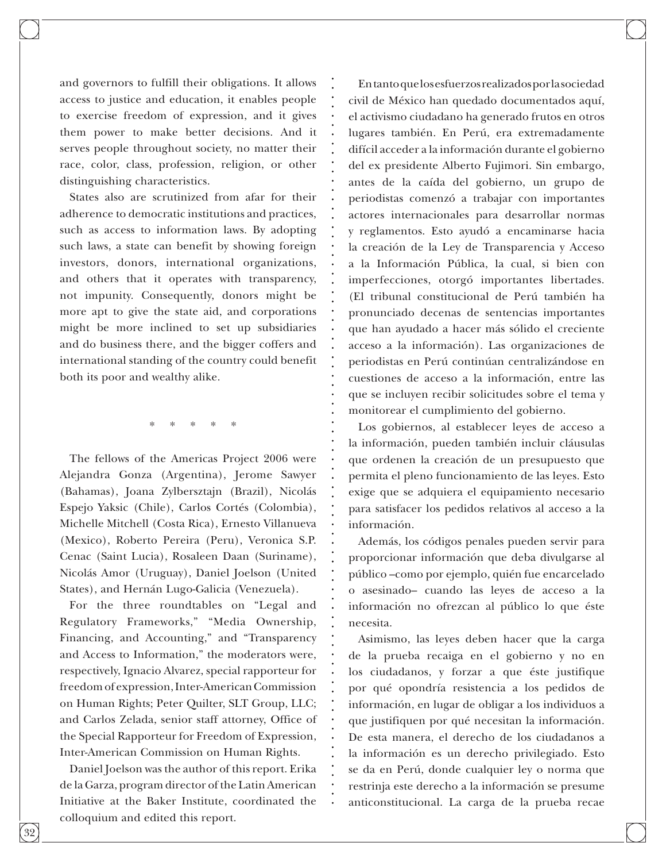and governors to fulfill their obligations. It allows access to justice and education, it enables people to exercise freedom of expression, and it gives them power to make better decisions. And it serves people throughout society, no matter their race, color, class, profession, religion, or other distinguishing characteristics.

States also are scrutinized from afar for their adherence to democratic institutions and practices, such as access to information laws. By adopting such laws, a state can benefit by showing foreign investors, donors, international organizations, and others that it operates with transparency, not impunity. Consequently, donors might be more apt to give the state aid, and corporations might be more inclined to set up subsidiaries and do business there, and the bigger coffers and international standing of the country could benefit both its poor and wealthy alike.

\* \* \* \* \*

The fellows of the Americas Project 2006 were Alejandra Gonza (Argentina), Jerome Sawyer (Bahamas), Joana Zylbersztajn (Brazil), Nicolás Espejo Yaksic (Chile), Carlos Cortés (Colombia), Michelle Mitchell (Costa Rica), Ernesto Villanueva (Mexico), Roberto Pereira (Peru), Veronica S.P. Cenac (Saint Lucia), Rosaleen Daan (Suriname), Nicolás Amor (Uruguay), Daniel Joelson (United States), and Hernán Lugo-Galicia (Venezuela).

For the three roundtables on "Legal and Regulatory Frameworks," "Media Ownership, Financing, and Accounting," and "Transparency and Access to Information," the moderators were, respectively, Ignacio Alvarez, special rapporteur for freedom of expression, Inter-American Commission on Human Rights; Peter Quilter, SLT Group, LLC; and Carlos Zelada, senior staff attorney, Office of the Special Rapporteur for Freedom of Expression, Inter-American Commission on Human Rights.

Daniel Joelson was the author of this report. Erika de la Garza, program director of the Latin American Initiative at the Baker Institute, coordinated the colloquium and edited this report.

En tanto que los esfuerzos realizados por la sociedad civil de México han quedado documentados aquí, el activismo ciudadano ha generado frutos en otros lugares también. En Perú, era extremadamente difícil acceder a la información durante el gobierno del ex presidente Alberto Fujimori. Sin embargo, antes de la caída del gobierno, un grupo de periodistas comenzó a trabajar con importantes actores internacionales para desarrollar normas y reglamentos. Esto ayudó a encaminarse hacia la creación de la Ley de Transparencia y Acceso a la Información Pública, la cual, si bien con imperfecciones, otorgó importantes libertades. (El tribunal constitucional de Perú también ha pronunciado decenas de sentencias importantes que han ayudado a hacer más sólido el creciente acceso a la información). Las organizaciones de periodistas en Perú continúan centralizándose en cuestiones de acceso a la información, entre las que se incluyen recibir solicitudes sobre el tema y monitorear el cumplimiento del gobierno.

Los gobiernos, al establecer leyes de acceso a la información, pueden también incluir cláusulas que ordenen la creación de un presupuesto que permita el pleno funcionamiento de las leyes. Esto exige que se adquiera el equipamiento necesario para satisfacer los pedidos relativos al acceso a la información.

Además, los códigos penales pueden servir para proporcionar información que deba divulgarse al público –como por ejemplo, quién fue encarcelado o asesinado– cuando las leyes de acceso a la información no ofrezcan al público lo que éste necesita.

Asimismo, las leyes deben hacer que la carga de la prueba recaiga en el gobierno y no en los ciudadanos, y forzar a que éste justifique por qué opondría resistencia a los pedidos de información, en lugar de obligar a los individuos a que justifiquen por qué necesitan la información. De esta manera, el derecho de los ciudadanos a la información es un derecho privilegiado. Esto se da en Perú, donde cualquier ley o norma que restrinja este derecho a la información se presume anticonstitucional. La carga de la prueba recae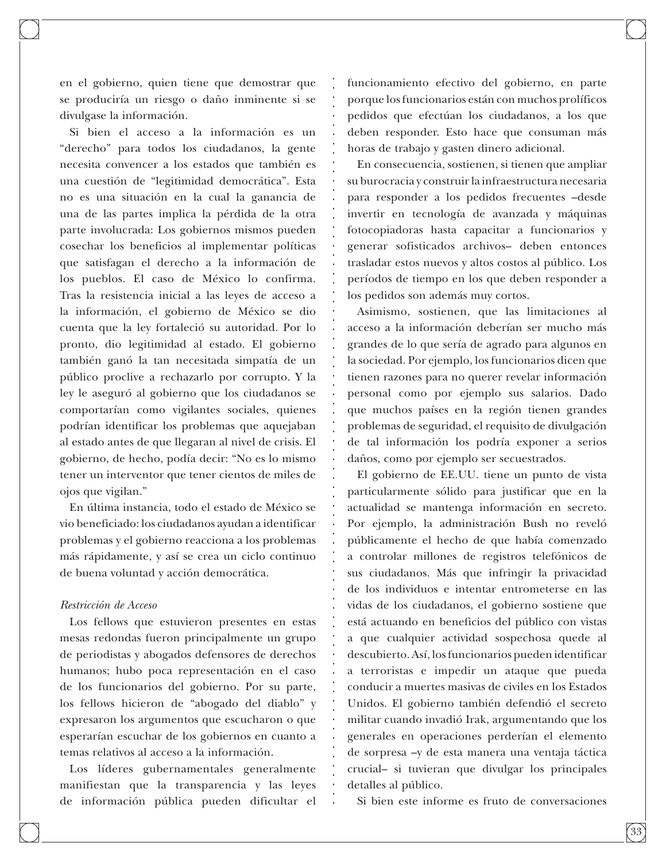en el gobierno, quien tiene que demostrar que se produciría un riesgo o daño inminente si se divulgase la información.

Si bien el acceso a la información es un "derecho" para todos los ciudadanos, la gente necesita convencer a los estados que también es una cuestión de "legitimidad democrática". Esta no es una situación en la cual la ganancia de una de las partes implica la pérdida de la otra parte involucrada: Los gobiernos mismos pueden cosechar los beneficios al implementar políticas que satisfagan el derecho a la información de los pueblos. El caso de México lo confirma. Tras la resistencia inicial a las leyes de acceso a la información, el gobierno de México se dio cuenta que la ley fortaleció su autoridad. Por lo pronto, dio legitimidad al estado. El gobierno también ganó la tan necesitada simpatía de un público proclive a rechazarlo por corrupto. Y la ley le aseguró al gobierno que los ciudadanos se comportarían como vigilantes sociales, quienes podrían identificar los problemas que aquejaban al estado antes de que llegaran al nivel de crisis. El gobierno, de hecho, podía decir: "No es lo mismo tener un interventor que tener cientos de miles de ojos que vigilan."

En última instancia, todo el estado de México se vio beneficiado: los ciudadanos ayudan a identificar problemas y el gobierno reacciona a los problemas más rápidamente, y así se crea un ciclo continuo de buena voluntad y acción democrática.

#### *Restricción de Acceso*

Los fellows que estuvieron presentes en estas mesas redondas fueron principalmente un grupo de periodistas y abogados defensores de derechos humanos; hubo poca representación en el caso de los funcionarios del gobierno. Por su parte, los fellows hicieron de "abogado del diablo" y expresaron los argumentos que escucharon o que esperarían escuchar de los gobiernos en cuanto a temas relativos al acceso a la información.

Los líderes gubernamentales generalmente manifiestan que la transparencia y las leyes de información pública pueden dificultar el funcionamiento efectivo del gobierno, en parte porque los funcionarios están con muchos prolíficos pedidos que efectúan los ciudadanos, a los que deben responder. Esto hace que consuman más horas de trabajo y gasten dinero adicional.

En consecuencia, sostienen, si tienen que ampliar su burocracia y construir la infraestructura necesaria para responder a los pedidos frecuentes –desde invertir en tecnología de avanzada y máquinas fotocopiadoras hasta capacitar a funcionarios y generar sofisticados archivos– deben entonces trasladar estos nuevos y altos costos al público. Los períodos de tiempo en los que deben responder a los pedidos son además muy cortos.

Asimismo, sostienen, que las limitaciones al acceso a la información deberían ser mucho más grandes de lo que sería de agrado para algunos en la sociedad. Por ejemplo, los funcionarios dicen que tienen razones para no querer revelar información personal como por ejemplo sus salarios. Dado que muchos países en la región tienen grandes problemas de seguridad, el requisito de divulgación de tal información los podría exponer a serios daños, como por ejemplo ser secuestrados.

El gobierno de EE.UU. tiene un punto de vista particularmente sólido para justificar que en la actualidad se mantenga información en secreto. Por ejemplo, la administración Bush no reveló públicamente el hecho de que había comenzado a controlar millones de registros telefónicos de sus ciudadanos. Más que infringir la privacidad de los individuos e intentar entrometerse en las vidas de los ciudadanos, el gobierno sostiene que está actuando en beneficios del público con vistas a que cualquier actividad sospechosa quede al descubierto. Así, los funcionarios pueden identificar a terroristas e impedir un ataque que pueda conducir a muertes masivas de civiles en los Estados Unidos. El gobierno también defendió el secreto militar cuando invadió Irak, argumentando que los generales en operaciones perderían el elemento de sorpresa –y de esta manera una ventaja táctica crucial– si tuvieran que divulgar los principales detalles al público.

Si bien este informe es fruto de conversaciones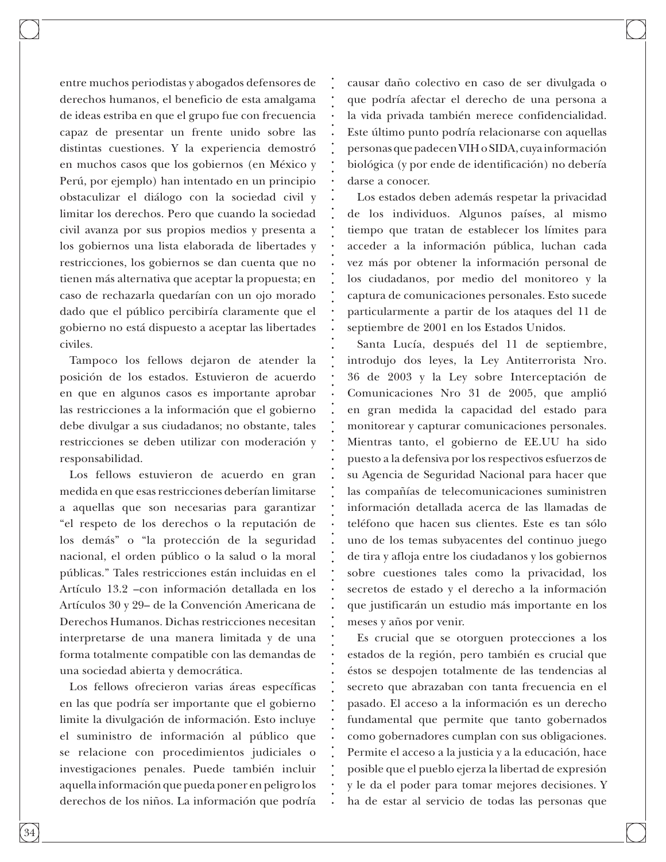entre muchos periodistas y abogados defensores de derechos humanos, el beneficio de esta amalgama de ideas estriba en que el grupo fue con frecuencia capaz de presentar un frente unido sobre las distintas cuestiones. Y la experiencia demostró en muchos casos que los gobiernos (en México y Perú, por ejemplo) han intentado en un principio obstaculizar el diálogo con la sociedad civil y limitar los derechos. Pero que cuando la sociedad civil avanza por sus propios medios y presenta a los gobiernos una lista elaborada de libertades y restricciones, los gobiernos se dan cuenta que no tienen más alternativa que aceptar la propuesta; en caso de rechazarla quedarían con un ojo morado dado que el público percibiría claramente que el gobierno no está dispuesto a aceptar las libertades civiles.

Tampoco los fellows dejaron de atender la posición de los estados. Estuvieron de acuerdo en que en algunos casos es importante aprobar las restricciones a la información que el gobierno debe divulgar a sus ciudadanos; no obstante, tales restricciones se deben utilizar con moderación y responsabilidad.

Los fellows estuvieron de acuerdo en gran medida en que esas restricciones deberían limitarse a aquellas que son necesarias para garantizar "el respeto de los derechos o la reputación de los demás" o "la protección de la seguridad nacional, el orden público o la salud o la moral públicas." Tales restricciones están incluidas en el Artículo 13.2 –con información detallada en los Artículos 30 y 29– de la Convención Americana de Derechos Humanos. Dichas restricciones necesitan interpretarse de una manera limitada y de una forma totalmente compatible con las demandas de una sociedad abierta y democrática.

Los fellows ofrecieron varias áreas específicas en las que podría ser importante que el gobierno limite la divulgación de información. Esto incluye el suministro de información al público que se relacione con procedimientos judiciales o investigaciones penales. Puede también incluir aquella información que pueda poner en peligro los derechos de los niños. La información que podría causar daño colectivo en caso de ser divulgada o que podría afectar el derecho de una persona a la vida privada también merece confidencialidad. Este último punto podría relacionarse con aquellas personas que padecen VIH o SIDA, cuya información biológica (y por ende de identificación) no debería darse a conocer.

Los estados deben además respetar la privacidad de los individuos. Algunos países, al mismo tiempo que tratan de establecer los límites para acceder a la información pública, luchan cada vez más por obtener la información personal de los ciudadanos, por medio del monitoreo y la captura de comunicaciones personales. Esto sucede particularmente a partir de los ataques del 11 de septiembre de 2001 en los Estados Unidos.

Santa Lucía, después del 11 de septiembre, introdujo dos leyes, la Ley Antiterrorista Nro. 36 de 2003 y la Ley sobre Interceptación de Comunicaciones Nro 31 de 2005, que amplió en gran medida la capacidad del estado para monitorear y capturar comunicaciones personales. Mientras tanto, el gobierno de EE.UU ha sido puesto a la defensiva por los respectivos esfuerzos de su Agencia de Seguridad Nacional para hacer que las compañías de telecomunicaciones suministren información detallada acerca de las llamadas de teléfono que hacen sus clientes. Este es tan sólo uno de los temas subyacentes del continuo juego de tira y afloja entre los ciudadanos y los gobiernos sobre cuestiones tales como la privacidad, los secretos de estado y el derecho a la información que justificarán un estudio más importante en los meses y años por venir.

Es crucial que se otorguen protecciones a los estados de la región, pero también es crucial que éstos se despojen totalmente de las tendencias al secreto que abrazaban con tanta frecuencia en el pasado. El acceso a la información es un derecho fundamental que permite que tanto gobernados como gobernadores cumplan con sus obligaciones. Permite el acceso a la justicia y a la educación, hace posible que el pueblo ejerza la libertad de expresión y le da el poder para tomar mejores decisiones. Y ha de estar al servicio de todas las personas que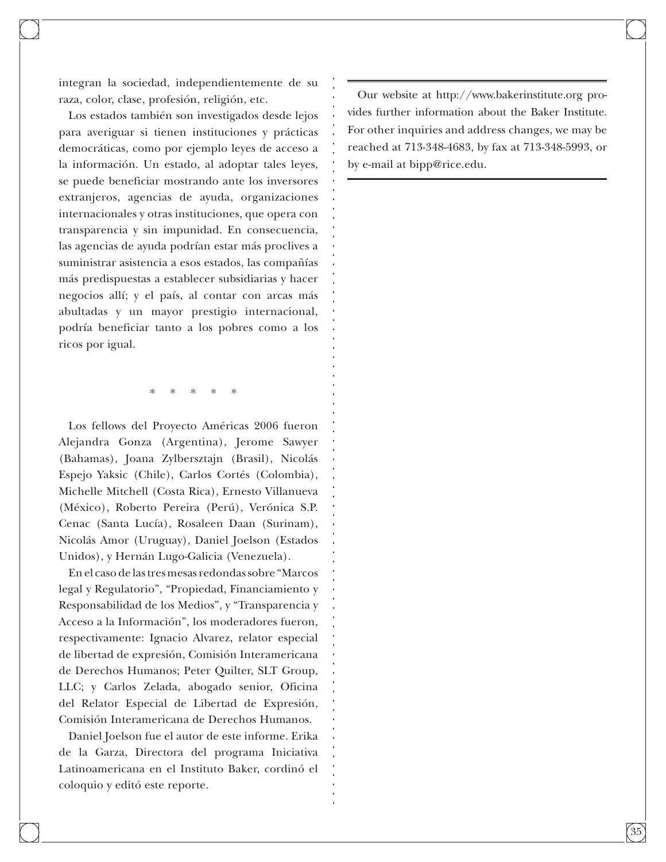integran la sociedad, independientemente de su raza, color, clase, profesión, religión, etc.

Los estados también son investigados desde lejos para averiguar si tienen instituciones y prácticas democráticas, como por ejemplo leyes de acceso a la información. Un estado, al adoptar tales leyes, se puede beneficiar mostrando ante los inversores extranjeros, agencias de ayuda, organizaciones internacionales y otras instituciones, que opera con transparencia y sin impunidad. En consecuencia, las agencias de ayuda podrían estar más proclives a suministrar asistencia a esos estados, las compañías más predispuestas a establecer subsidiarias y hacer negocios allí; y el país, al contar con arcas más abultadas y un mayor prestigio internacional, podría beneficiar tanto a los pobres como a los ricos por igual.

\* \* \* \* \*

Los fellows del Proyecto Américas 2006 fueron Alejandra Gonza (Argentina), Jerome Sawyer (Bahamas), Joana Zylbersztajn (Brasil), Nicolás Espejo Yaksic (Chile), Carlos Cortés (Colombia), Michelle Mitchell (Costa Rica), Ernesto Villanueva (México), Roberto Pereira (Perú), Verónica S.P. Cenac (Santa Lucía), Rosaleen Daan (Surinam), Nicolás Amor (Uruguay), Daniel Joelson (Estados Unidos), y Hernán Lugo-Galicia (Venezuela).

En el caso de las tres mesas redondas sobre "Marcos legal y Regulatorio", "Propiedad, Financiamiento y Responsabilidad de los Medios", y "Transparencia y Acceso a la Información", los moderadores fueron, respectivamente: Ignacio Alvarez, relator especial de libertad de expresión, Comisión Interamericana de Derechos Humanos; Peter Quilter, SLT Group, LLC; y Carlos Zelada, abogado senior, Oficina del Relator Especial de Libertad de Expresión, Comisión Interamericana de Derechos Humanos.

Daniel Joelson fue el autor de este informe. Erika de la Garza, Directora del programa Iniciativa Latinoamericana en el Instituto Baker, cordinó el coloquio y editó este reporte.

Our website at http://www.bakerinstitute.org provides further information about the Baker Institute. For other inquiries and address changes, we may be reached at 713-348-4683, by fax at 713-348-5993, or by e-mail at bipp@rice.edu.